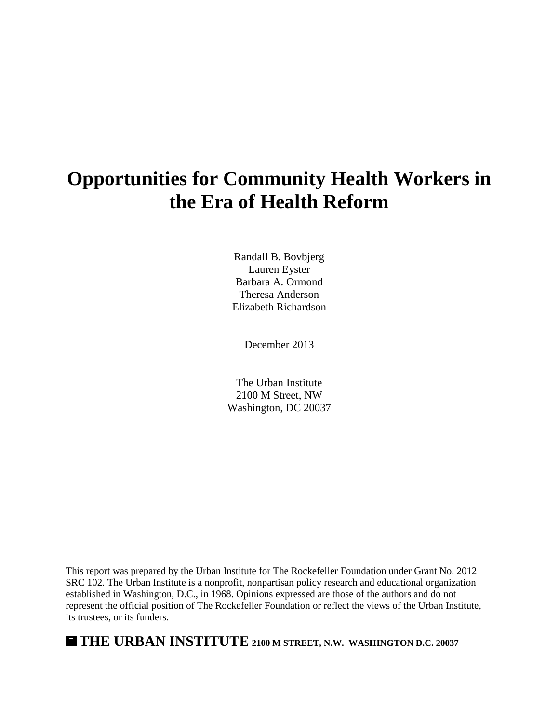# **Opportunities for Community Health Workers in the Era of Health Reform**

Randall B. Bovbjerg Lauren Eyster Barbara A. Ormond Theresa Anderson Elizabeth Richardson

December 2013

The Urban Institute 2100 M Street, NW Washington, DC 20037

This report was prepared by the Urban Institute for The Rockefeller Foundation under Grant No. 2012 SRC 102. The Urban Institute is a nonprofit, nonpartisan policy research and educational organization established in Washington, D.C., in 1968. Opinions expressed are those of the authors and do not represent the official position of The Rockefeller Foundation or reflect the views of the Urban Institute, its trustees, or its funders.

# **THE URBAN INSTITUTE 2100 M STREET, N.W. WASHINGTON D.C. 20037**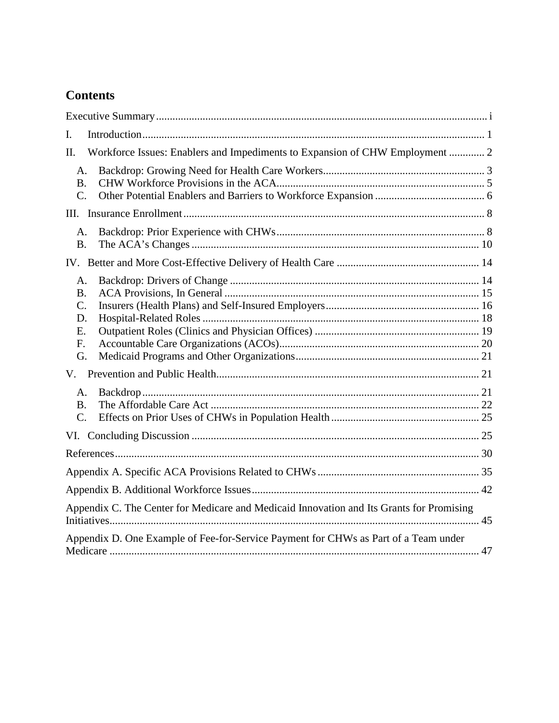# **Contents**

| I.                                                                                       |  |
|------------------------------------------------------------------------------------------|--|
| Workforce Issues: Enablers and Impediments to Expansion of CHW Employment  2<br>Π.       |  |
| A.<br><b>B.</b><br>$\mathcal{C}$ .                                                       |  |
|                                                                                          |  |
| A.<br><b>B.</b>                                                                          |  |
|                                                                                          |  |
| A.<br><b>B.</b><br>$\mathcal{C}$ .<br>D.<br>Ε.<br>F.<br>G.                               |  |
|                                                                                          |  |
| A.<br><b>B.</b><br>$\mathcal{C}$ .                                                       |  |
|                                                                                          |  |
|                                                                                          |  |
|                                                                                          |  |
|                                                                                          |  |
| Appendix C. The Center for Medicare and Medicaid Innovation and Its Grants for Promising |  |
| Appendix D. One Example of Fee-for-Service Payment for CHWs as Part of a Team under      |  |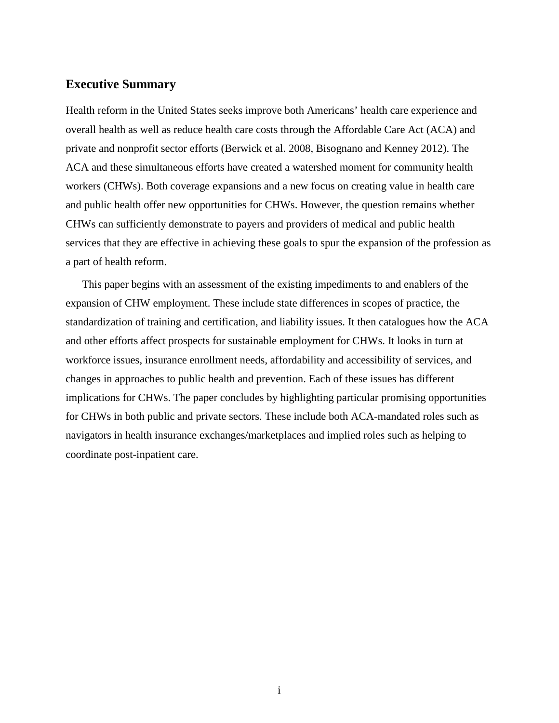# **Executive Summary**

Health reform in the United States seeks improve both Americans' health care experience and overall health as well as reduce health care costs through the Affordable Care Act (ACA) and private and nonprofit sector efforts (Berwick et al. 2008, Bisognano and Kenney 2012). The ACA and these simultaneous efforts have created a watershed moment for community health workers (CHWs). Both coverage expansions and a new focus on creating value in health care and public health offer new opportunities for CHWs. However, the question remains whether CHWs can sufficiently demonstrate to payers and providers of medical and public health services that they are effective in achieving these goals to spur the expansion of the profession as a part of health reform.

<span id="page-2-0"></span>This paper begins with an assessment of the existing impediments to and enablers of the expansion of CHW employment. These include state differences in scopes of practice, the standardization of training and certification, and liability issues. It then catalogues how the ACA and other efforts affect prospects for sustainable employment for CHWs. It looks in turn at workforce issues, insurance enrollment needs, affordability and accessibility of services, and changes in approaches to public health and prevention. Each of these issues has different implications for CHWs. The paper concludes by highlighting particular promising opportunities for CHWs in both public and private sectors. These include both ACA-mandated roles such as navigators in health insurance exchanges/marketplaces and implied roles such as helping to coordinate post-inpatient care.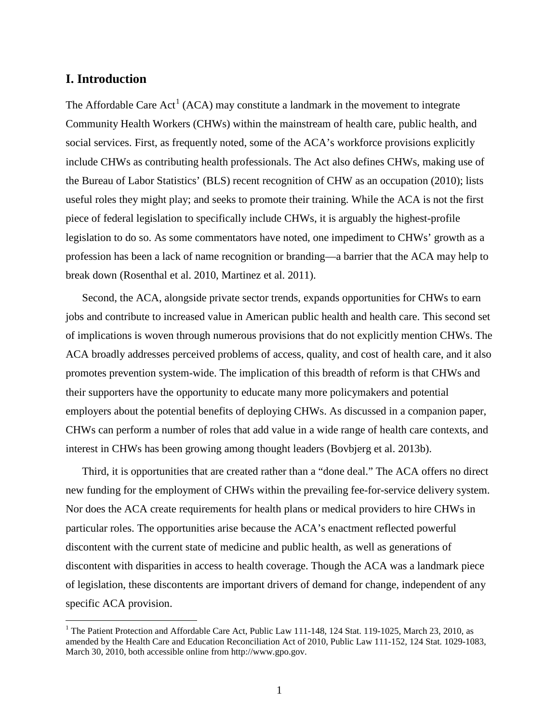### **I. Introduction**

The Affordable Care  $Act^1$  $Act^1$  (ACA) may constitute a landmark in the movement to integrate Community Health Workers (CHWs) within the mainstream of health care, public health, and social services. First, as frequently noted, some of the ACA's workforce provisions explicitly include CHWs as contributing health professionals. The Act also defines CHWs, making use of the Bureau of Labor Statistics' (BLS) recent recognition of CHW as an occupation (2010); lists useful roles they might play; and seeks to promote their training. While the ACA is not the first piece of federal legislation to specifically include CHWs, it is arguably the highest-profile legislation to do so. As some commentators have noted, one impediment to CHWs' growth as a profession has been a lack of name recognition or branding—a barrier that the ACA may help to break down (Rosenthal et al. 2010, Martinez et al. 2011).

Second, the ACA, alongside private sector trends, expands opportunities for CHWs to earn jobs and contribute to increased value in American public health and health care. This second set of implications is woven through numerous provisions that do not explicitly mention CHWs. The ACA broadly addresses perceived problems of access, quality, and cost of health care, and it also promotes prevention system-wide. The implication of this breadth of reform is that CHWs and their supporters have the opportunity to educate many more policymakers and potential employers about the potential benefits of deploying CHWs. As discussed in a companion paper, CHWs can perform a number of roles that add value in a wide range of health care contexts, and interest in CHWs has been growing among thought leaders (Bovbjerg et al. 2013b).

Third, it is opportunities that are created rather than a "done deal." The ACA offers no direct new funding for the employment of CHWs within the prevailing fee-for-service delivery system. Nor does the ACA create requirements for health plans or medical providers to hire CHWs in particular roles. The opportunities arise because the ACA's enactment reflected powerful discontent with the current state of medicine and public health, as well as generations of discontent with disparities in access to health coverage. Though the ACA was a landmark piece of legislation, these discontents are important drivers of demand for change, independent of any specific ACA provision.

<span id="page-3-0"></span><sup>&</sup>lt;sup>1</sup> The Patient Protection and Affordable Care Act, Public Law 111-148, 124 Stat. 119-1025, March 23, 2010, as amended by the Health Care and Education Reconciliation Act of 2010, Public Law 111-152, 124 Stat. 1029-1083, March 30, 2010, both accessible online from http://www.gpo.gov.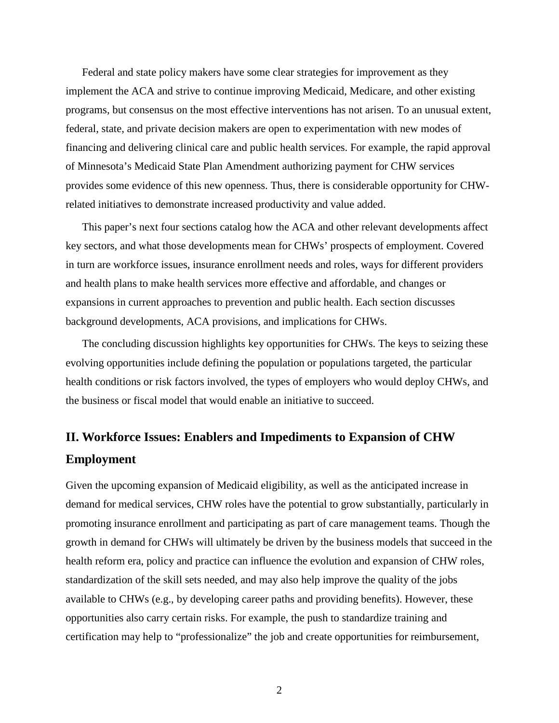Federal and state policy makers have some clear strategies for improvement as they implement the ACA and strive to continue improving Medicaid, Medicare, and other existing programs, but consensus on the most effective interventions has not arisen. To an unusual extent, federal, state, and private decision makers are open to experimentation with new modes of financing and delivering clinical care and public health services. For example, the rapid approval of Minnesota's Medicaid State Plan Amendment authorizing payment for CHW services provides some evidence of this new openness. Thus, there is considerable opportunity for CHWrelated initiatives to demonstrate increased productivity and value added.

This paper's next four sections catalog how the ACA and other relevant developments affect key sectors, and what those developments mean for CHWs' prospects of employment. Covered in turn are workforce issues, insurance enrollment needs and roles, ways for different providers and health plans to make health services more effective and affordable, and changes or expansions in current approaches to prevention and public health. Each section discusses background developments, ACA provisions, and implications for CHWs.

The concluding discussion highlights key opportunities for CHWs. The keys to seizing these evolving opportunities include defining the population or populations targeted, the particular health conditions or risk factors involved, the types of employers who would deploy CHWs, and the business or fiscal model that would enable an initiative to succeed.

# **II. Workforce Issues: Enablers and Impediments to Expansion of CHW Employment**

Given the upcoming expansion of Medicaid eligibility, as well as the anticipated increase in demand for medical services, CHW roles have the potential to grow substantially, particularly in promoting insurance enrollment and participating as part of care management teams. Though the growth in demand for CHWs will ultimately be driven by the business models that succeed in the health reform era, policy and practice can influence the evolution and expansion of CHW roles, standardization of the skill sets needed, and may also help improve the quality of the jobs available to CHWs (e.g., by developing career paths and providing benefits). However, these opportunities also carry certain risks. For example, the push to standardize training and certification may help to "professionalize" the job and create opportunities for reimbursement,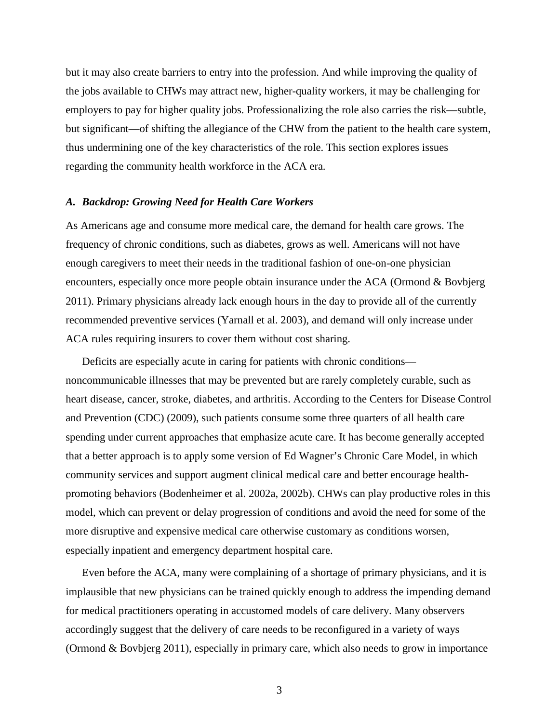but it may also create barriers to entry into the profession. And while improving the quality of the jobs available to CHWs may attract new, higher-quality workers, it may be challenging for employers to pay for higher quality jobs. Professionalizing the role also carries the risk—subtle, but significant—of shifting the allegiance of the CHW from the patient to the health care system, thus undermining one of the key characteristics of the role. This section explores issues regarding the community health workforce in the ACA era.

#### *A. Backdrop: Growing Need for Health Care Workers*

As Americans age and consume more medical care, the demand for health care grows. The frequency of chronic conditions, such as diabetes, grows as well. Americans will not have enough caregivers to meet their needs in the traditional fashion of one-on-one physician encounters, especially once more people obtain insurance under the ACA (Ormond & Bovbjerg 2011). Primary physicians already lack enough hours in the day to provide all of the currently recommended preventive services (Yarnall et al. 2003), and demand will only increase under ACA rules requiring insurers to cover them without cost sharing.

Deficits are especially acute in caring for patients with chronic conditions noncommunicable illnesses that may be prevented but are rarely completely curable, such as heart disease, cancer, stroke, diabetes, and arthritis. According to the Centers for Disease Control and Prevention (CDC) (2009), such patients consume some three quarters of all health care spending under current approaches that emphasize acute care. It has become generally accepted that a better approach is to apply some version of Ed Wagner's Chronic Care Model, in which community services and support augment clinical medical care and better encourage healthpromoting behaviors (Bodenheimer et al. 2002a, 2002b). CHWs can play productive roles in this model, which can prevent or delay progression of conditions and avoid the need for some of the more disruptive and expensive medical care otherwise customary as conditions worsen, especially inpatient and emergency department hospital care.

Even before the ACA, many were complaining of a shortage of primary physicians, and it is implausible that new physicians can be trained quickly enough to address the impending demand for medical practitioners operating in accustomed models of care delivery. Many observers accordingly suggest that the delivery of care needs to be reconfigured in a variety of ways (Ormond & Bovbjerg 2011), especially in primary care, which also needs to grow in importance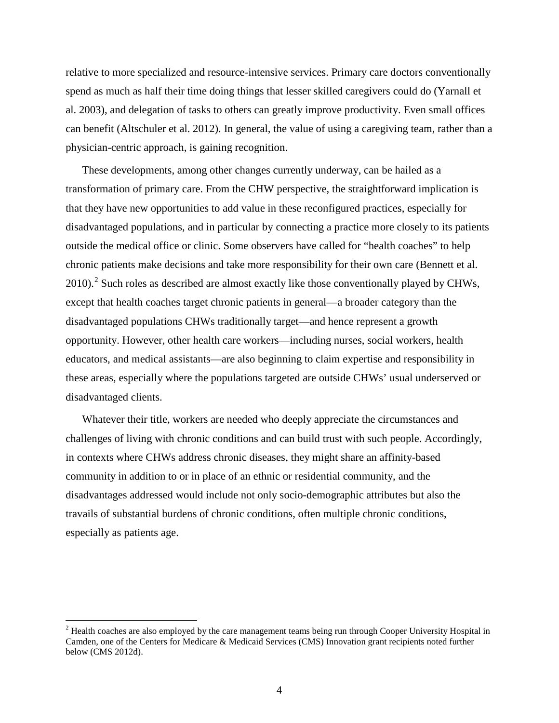relative to more specialized and resource-intensive services. Primary care doctors conventionally spend as much as half their time doing things that lesser skilled caregivers could do (Yarnall et al. 2003), and delegation of tasks to others can greatly improve productivity. Even small offices can benefit (Altschuler et al. 2012). In general, the value of using a caregiving team, rather than a physician-centric approach, is gaining recognition.

These developments, among other changes currently underway, can be hailed as a transformation of primary care. From the CHW perspective, the straightforward implication is that they have new opportunities to add value in these reconfigured practices, especially for disadvantaged populations, and in particular by connecting a practice more closely to its patients outside the medical office or clinic. Some observers have called for "health coaches" to help chronic patients make decisions and take more responsibility for their own care (Bennett et al. [2](#page-3-0)010).<sup>2</sup> Such roles as described are almost exactly like those conventionally played by CHWs, except that health coaches target chronic patients in general—a broader category than the disadvantaged populations CHWs traditionally target—and hence represent a growth opportunity. However, other health care workers—including nurses, social workers, health educators, and medical assistants—are also beginning to claim expertise and responsibility in these areas, especially where the populations targeted are outside CHWs' usual underserved or disadvantaged clients.

Whatever their title, workers are needed who deeply appreciate the circumstances and challenges of living with chronic conditions and can build trust with such people. Accordingly, in contexts where CHWs address chronic diseases, they might share an affinity-based community in addition to or in place of an ethnic or residential community, and the disadvantages addressed would include not only socio-demographic attributes but also the travails of substantial burdens of chronic conditions, often multiple chronic conditions, especially as patients age.

<span id="page-6-0"></span> $2$  Health coaches are also employed by the care management teams being run through Cooper University Hospital in Camden, one of the Centers for Medicare & Medicaid Services (CMS) Innovation grant recipients noted further below (CMS 2012d).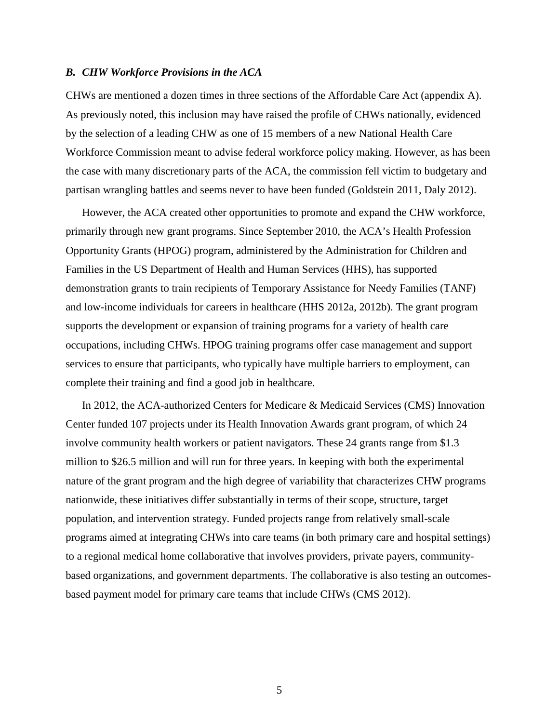#### *B. CHW Workforce Provisions in the ACA*

CHWs are mentioned a dozen times in three sections of the Affordable Care Act (appendix A). As previously noted, this inclusion may have raised the profile of CHWs nationally, evidenced by the selection of a leading CHW as one of 15 members of a new National Health Care Workforce Commission meant to advise federal workforce policy making. However, as has been the case with many discretionary parts of the ACA, the commission fell victim to budgetary and partisan wrangling battles and seems never to have been funded (Goldstein 2011, Daly 2012).

However, the ACA created other opportunities to promote and expand the CHW workforce, primarily through new grant programs. Since September 2010, the ACA's Health Profession Opportunity Grants (HPOG) program, administered by the Administration for Children and Families in the US Department of Health and Human Services (HHS), has supported demonstration grants to train recipients of Temporary Assistance for Needy Families (TANF) and low-income individuals for careers in healthcare (HHS 2012a, 2012b). The grant program supports the development or expansion of training programs for a variety of health care occupations, including CHWs. HPOG training programs offer case management and support services to ensure that participants, who typically have multiple barriers to employment, can complete their training and find a good job in healthcare.

In 2012, the ACA-authorized Centers for Medicare & Medicaid Services (CMS) Innovation Center funded 107 projects under its Health Innovation Awards grant program, of which 24 involve community health workers or patient navigators. These 24 grants range from \$1.3 million to \$26.5 million and will run for three years. In keeping with both the experimental nature of the grant program and the high degree of variability that characterizes CHW programs nationwide, these initiatives differ substantially in terms of their scope, structure, target population, and intervention strategy. Funded projects range from relatively small-scale programs aimed at integrating CHWs into care teams (in both primary care and hospital settings) to a regional medical home collaborative that involves providers, private payers, communitybased organizations, and government departments. The collaborative is also testing an outcomesbased payment model for primary care teams that include CHWs (CMS 2012).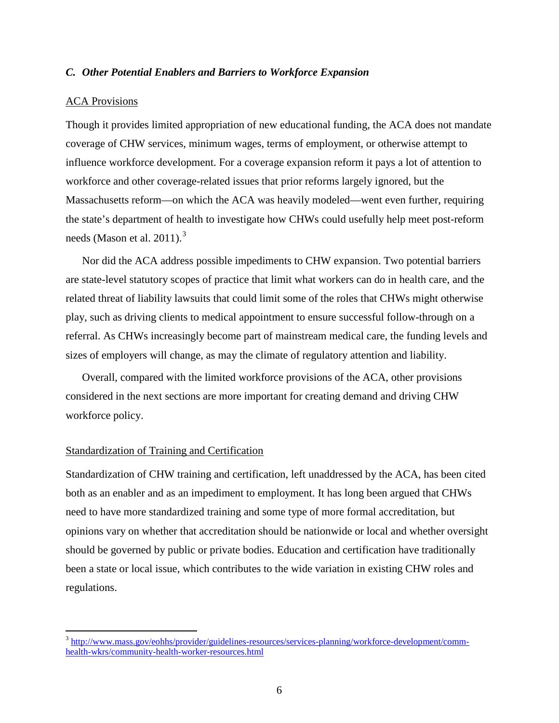#### *C. Other Potential Enablers and Barriers to Workforce Expansion*

#### ACA Provisions

Though it provides limited appropriation of new educational funding, the ACA does not mandate coverage of CHW services, minimum wages, terms of employment, or otherwise attempt to influence workforce development. For a coverage expansion reform it pays a lot of attention to workforce and other coverage-related issues that prior reforms largely ignored, but the Massachusetts reform—on which the ACA was heavily modeled—went even further, requiring the state's department of health to investigate how CHWs could usefully help meet post-reform needs (Mason et al. 2011).<sup>[3](#page-6-0)</sup>

Nor did the ACA address possible impediments to CHW expansion. Two potential barriers are state-level statutory scopes of practice that limit what workers can do in health care, and the related threat of liability lawsuits that could limit some of the roles that CHWs might otherwise play, such as driving clients to medical appointment to ensure successful follow-through on a referral. As CHWs increasingly become part of mainstream medical care, the funding levels and sizes of employers will change, as may the climate of regulatory attention and liability.

Overall, compared with the limited workforce provisions of the ACA, other provisions considered in the next sections are more important for creating demand and driving CHW workforce policy.

#### Standardization of Training and Certification

Standardization of CHW training and certification, left unaddressed by the ACA, has been cited both as an enabler and as an impediment to employment. It has long been argued that CHWs need to have more standardized training and some type of more formal accreditation, but opinions vary on whether that accreditation should be nationwide or local and whether oversight should be governed by public or private bodies. Education and certification have traditionally been a state or local issue, which contributes to the wide variation in existing CHW roles and regulations.

<span id="page-8-0"></span> <sup>3</sup> [http://www.mass.gov/eohhs/provider/guidelines-resources/services-planning/workforce-development/comm](http://www.mass.gov/eohhs/provider/guidelines-resources/services-planning/workforce-development/comm-health-wkrs/community-health-worker-resources.html)[health-wkrs/community-health-worker-resources.html](http://www.mass.gov/eohhs/provider/guidelines-resources/services-planning/workforce-development/comm-health-wkrs/community-health-worker-resources.html)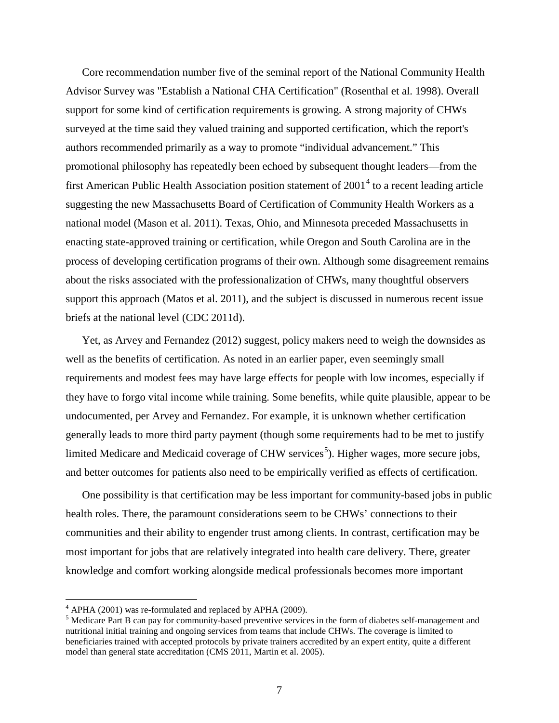Core recommendation number five of the seminal report of the National Community Health Advisor Survey was "Establish a National CHA Certification" (Rosenthal et al. 1998). Overall support for some kind of certification requirements is growing. A strong majority of CHWs surveyed at the time said they valued training and supported certification, which the report's authors recommended primarily as a way to promote "individual advancement." This promotional philosophy has repeatedly been echoed by subsequent thought leaders—from the first American Public Health Association position statement of  $2001<sup>4</sup>$  $2001<sup>4</sup>$  $2001<sup>4</sup>$  to a recent leading article suggesting the new Massachusetts Board of Certification of Community Health Workers as a national model (Mason et al. 2011). Texas, Ohio, and Minnesota preceded Massachusetts in enacting state-approved training or certification, while Oregon and South Carolina are in the process of developing certification programs of their own. Although some disagreement remains about the risks associated with the professionalization of CHWs, many thoughtful observers support this approach (Matos et al. 2011), and the subject is discussed in numerous recent issue briefs at the national level (CDC 2011d).

Yet, as Arvey and Fernandez (2012) suggest, policy makers need to weigh the downsides as well as the benefits of certification. As noted in an earlier paper, even seemingly small requirements and modest fees may have large effects for people with low incomes, especially if they have to forgo vital income while training. Some benefits, while quite plausible, appear to be undocumented, per Arvey and Fernandez. For example, it is unknown whether certification generally leads to more third party payment (though some requirements had to be met to justify limited Medicare and Medicaid coverage of CHW services<sup>[5](#page-9-0)</sup>). Higher wages, more secure jobs, and better outcomes for patients also need to be empirically verified as effects of certification.

One possibility is that certification may be less important for community-based jobs in public health roles. There, the paramount considerations seem to be CHWs' connections to their communities and their ability to engender trust among clients. In contrast, certification may be most important for jobs that are relatively integrated into health care delivery. There, greater knowledge and comfort working alongside medical professionals becomes more important

<span id="page-9-1"></span><span id="page-9-0"></span>

 $^{4}$  APHA (2001) was re-formulated and replaced by APHA (2009).<br><sup>5</sup> Medicare Part B can pay for community-based preventive services in the form of diabetes self-management and nutritional initial training and ongoing services from teams that include CHWs. The coverage is limited to beneficiaries trained with accepted protocols by private trainers accredited by an expert entity, quite a different model than general state accreditation (CMS 2011, Martin et al. 2005).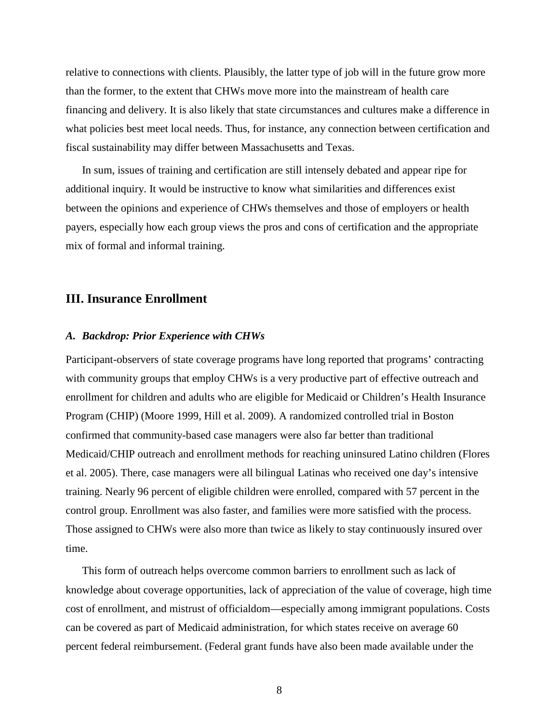relative to connections with clients. Plausibly, the latter type of job will in the future grow more than the former, to the extent that CHWs move more into the mainstream of health care financing and delivery. It is also likely that state circumstances and cultures make a difference in what policies best meet local needs. Thus, for instance, any connection between certification and fiscal sustainability may differ between Massachusetts and Texas.

In sum, issues of training and certification are still intensely debated and appear ripe for additional inquiry. It would be instructive to know what similarities and differences exist between the opinions and experience of CHWs themselves and those of employers or health payers, especially how each group views the pros and cons of certification and the appropriate mix of formal and informal training.

# **III. Insurance Enrollment**

#### *A. Backdrop: Prior Experience with CHWs*

Participant-observers of state coverage programs have long reported that programs' contracting with community groups that employ CHWs is a very productive part of effective outreach and enrollment for children and adults who are eligible for Medicaid or Children's Health Insurance Program (CHIP) (Moore 1999, Hill et al. 2009). A randomized controlled trial in Boston confirmed that community-based case managers were also far better than traditional Medicaid/CHIP outreach and enrollment methods for reaching uninsured Latino children (Flores et al. 2005). There, case managers were all bilingual Latinas who received one day's intensive training. Nearly 96 percent of eligible children were enrolled, compared with 57 percent in the control group. Enrollment was also faster, and families were more satisfied with the process. Those assigned to CHWs were also more than twice as likely to stay continuously insured over time.

This form of outreach helps overcome common barriers to enrollment such as lack of knowledge about coverage opportunities, lack of appreciation of the value of coverage, high time cost of enrollment, and mistrust of officialdom—especially among immigrant populations. Costs can be covered as part of Medicaid administration, for which states receive on average 60 percent federal reimbursement. (Federal grant funds have also been made available under the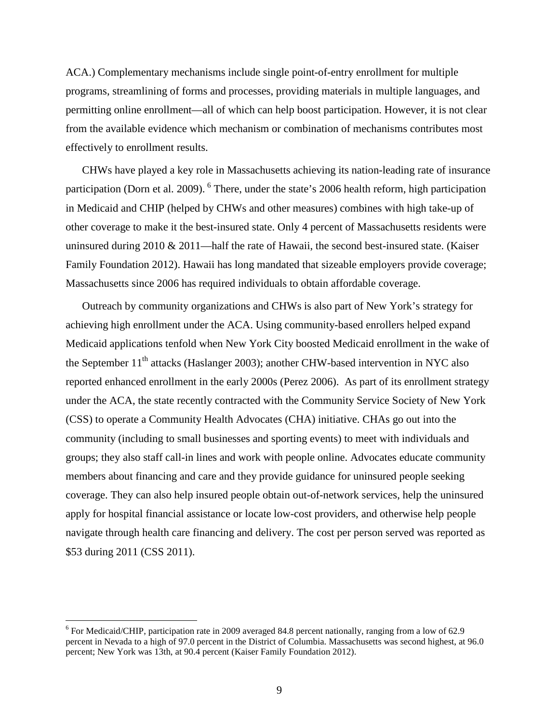ACA.) Complementary mechanisms include single point-of-entry enrollment for multiple programs, streamlining of forms and processes, providing materials in multiple languages, and permitting online enrollment—all of which can help boost participation. However, it is not clear from the available evidence which mechanism or combination of mechanisms contributes most effectively to enrollment results.

CHWs have played a key role in Massachusetts achieving its nation-leading rate of insurance participation (Dorn et al. 2009). <sup>[6](#page-9-1)</sup> There, under the state's 2006 health reform, high participation in Medicaid and CHIP (helped by CHWs and other measures) combines with high take-up of other coverage to make it the best-insured state. Only 4 percent of Massachusetts residents were uninsured during 2010 & 2011—half the rate of Hawaii, the second best-insured state. (Kaiser Family Foundation 2012). Hawaii has long mandated that sizeable employers provide coverage; Massachusetts since 2006 has required individuals to obtain affordable coverage.

Outreach by community organizations and CHWs is also part of New York's strategy for achieving high enrollment under the ACA. Using community-based enrollers helped expand Medicaid applications tenfold when New York City boosted Medicaid enrollment in the wake of the September  $11<sup>th</sup>$  attacks (Haslanger 2003); another CHW-based intervention in NYC also reported enhanced enrollment in the early 2000s (Perez 2006). As part of its enrollment strategy under the ACA, the state recently contracted with the Community Service Society of New York (CSS) to operate a Community Health Advocates (CHA) initiative. CHAs go out into the community (including to small businesses and sporting events) to meet with individuals and groups; they also staff call-in lines and work with people online. Advocates educate community members about financing and care and they provide guidance for uninsured people seeking coverage. They can also help insured people obtain out-of-network services, help the uninsured apply for hospital financial assistance or locate low-cost providers, and otherwise help people navigate through health care financing and delivery. The cost per person served was reported as \$53 during 2011 (CSS 2011).

<span id="page-11-0"></span> <sup>6</sup> For Medicaid/CHIP, participation rate in 2009 averaged 84.8 percent nationally, ranging from a low of 62.9 percent in Nevada to a high of 97.0 percent in the District of Columbia. Massachusetts was second highest, at 96.0 percent; New York was 13th, at 90.4 percent (Kaiser Family Foundation 2012).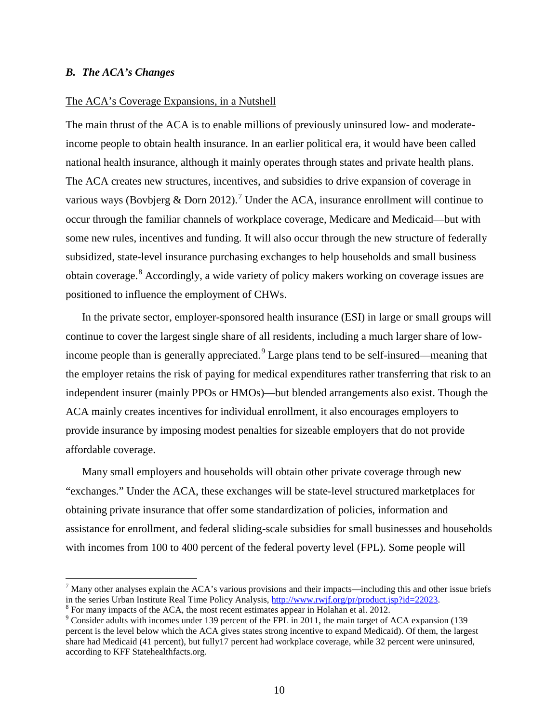#### *B. The ACA's Changes*

#### The ACA's Coverage Expansions, in a Nutshell

The main thrust of the ACA is to enable millions of previously uninsured low- and moderateincome people to obtain health insurance. In an earlier political era, it would have been called national health insurance, although it mainly operates through states and private health plans. The ACA creates new structures, incentives, and subsidies to drive expansion of coverage in various ways (Bovbjerg & Dorn 2012).<sup>[7](#page-11-0)</sup> Under the ACA, insurance enrollment will continue to occur through the familiar channels of workplace coverage, Medicare and Medicaid—but with some new rules, incentives and funding. It will also occur through the new structure of federally subsidized, state-level insurance purchasing exchanges to help households and small business obtain coverage.[8](#page-12-0) Accordingly, a wide variety of policy makers working on coverage issues are positioned to influence the employment of CHWs.

In the private sector, employer-sponsored health insurance (ESI) in large or small groups will continue to cover the largest single share of all residents, including a much larger share of low-income people than is generally appreciated.<sup>[9](#page-12-1)</sup> Large plans tend to be self-insured—meaning that the employer retains the risk of paying for medical expenditures rather transferring that risk to an independent insurer (mainly PPOs or HMOs)—but blended arrangements also exist. Though the ACA mainly creates incentives for individual enrollment, it also encourages employers to provide insurance by imposing modest penalties for sizeable employers that do not provide affordable coverage.

Many small employers and households will obtain other private coverage through new "exchanges." Under the ACA, these exchanges will be state-level structured marketplaces for obtaining private insurance that offer some standardization of policies, information and assistance for enrollment, and federal sliding-scale subsidies for small businesses and households with incomes from 100 to 400 percent of the federal poverty level (FPL). Some people will

<sup>&</sup>lt;sup>7</sup> Many other analyses explain the ACA's various provisions and their impacts—including this and other issue briefs in the series Urban Institute Real Time Policy Analysis,  $\frac{http://www.rwjf.org/pr/product.jsp?id=22023}$ .

<span id="page-12-0"></span> $\delta$  For many impacts of the ACA, the most recent estimates appear in Holahan et al. 2012.

<span id="page-12-1"></span><sup>&</sup>lt;sup>9</sup> Consider adults with incomes under 139 percent of the FPL in 2011, the main target of ACA expansion (139 percent is the level below which the ACA gives states strong incentive to expand Medicaid). Of them, the largest share had Medicaid (41 percent), but fully17 percent had workplace coverage, while 32 percent were uninsured, according to KFF Statehealthfacts.org.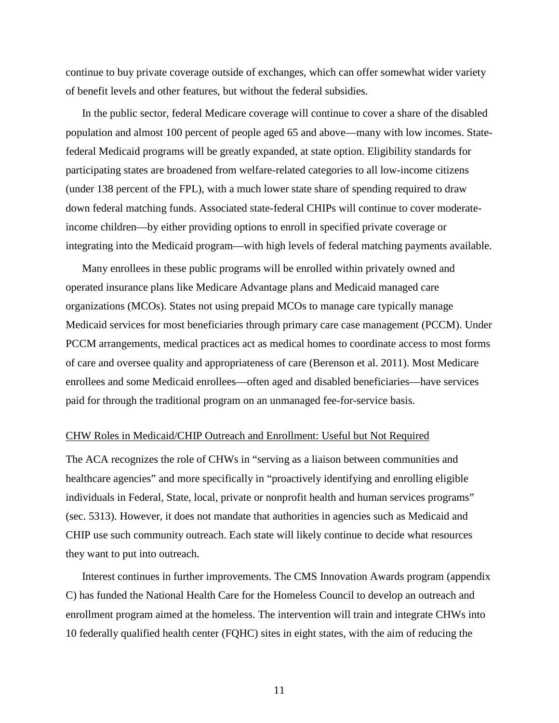continue to buy private coverage outside of exchanges, which can offer somewhat wider variety of benefit levels and other features, but without the federal subsidies.

In the public sector, federal Medicare coverage will continue to cover a share of the disabled population and almost 100 percent of people aged 65 and above—many with low incomes. Statefederal Medicaid programs will be greatly expanded, at state option. Eligibility standards for participating states are broadened from welfare-related categories to all low-income citizens (under 138 percent of the FPL), with a much lower state share of spending required to draw down federal matching funds. Associated state-federal CHIPs will continue to cover moderateincome children—by either providing options to enroll in specified private coverage or integrating into the Medicaid program—with high levels of federal matching payments available.

Many enrollees in these public programs will be enrolled within privately owned and operated insurance plans like Medicare Advantage plans and Medicaid managed care organizations (MCOs). States not using prepaid MCOs to manage care typically manage Medicaid services for most beneficiaries through primary care case management (PCCM). Under PCCM arrangements, medical practices act as medical homes to coordinate access to most forms of care and oversee quality and appropriateness of care (Berenson et al. 2011). Most Medicare enrollees and some Medicaid enrollees—often aged and disabled beneficiaries—have services paid for through the traditional program on an unmanaged fee-for-service basis.

#### CHW Roles in Medicaid/CHIP Outreach and Enrollment: Useful but Not Required

The ACA recognizes the role of CHWs in "serving as a liaison between communities and healthcare agencies" and more specifically in "proactively identifying and enrolling eligible individuals in Federal, State, local, private or nonprofit health and human services programs" (sec. 5313). However, it does not mandate that authorities in agencies such as Medicaid and CHIP use such community outreach. Each state will likely continue to decide what resources they want to put into outreach.

Interest continues in further improvements. The CMS Innovation Awards program (appendix C) has funded the National Health Care for the Homeless Council to develop an outreach and enrollment program aimed at the homeless. The intervention will train and integrate CHWs into 10 federally qualified health center (FQHC) sites in eight states, with the aim of reducing the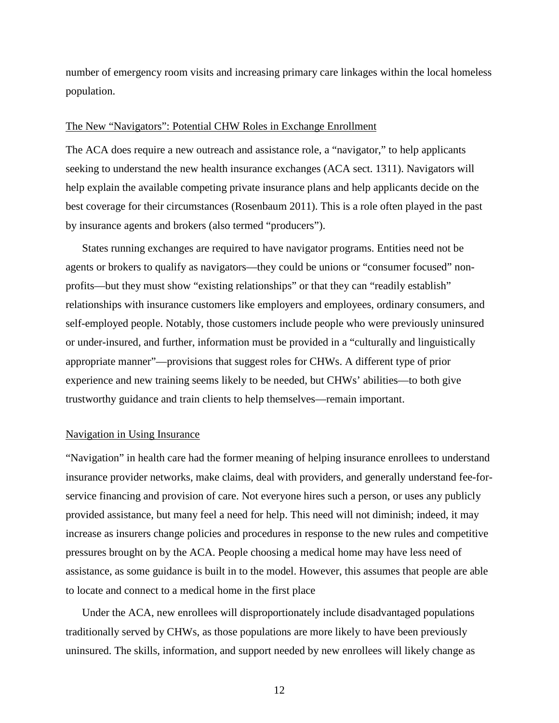number of emergency room visits and increasing primary care linkages within the local homeless population.

#### The New "Navigators": Potential CHW Roles in Exchange Enrollment

The ACA does require a new outreach and assistance role, a "navigator," to help applicants seeking to understand the new health insurance exchanges (ACA sect. 1311). Navigators will help explain the available competing private insurance plans and help applicants decide on the best coverage for their circumstances (Rosenbaum 2011). This is a role often played in the past by insurance agents and brokers (also termed "producers").

States running exchanges are required to have navigator programs. Entities need not be agents or brokers to qualify as navigators—they could be unions or "consumer focused" nonprofits—but they must show "existing relationships" or that they can "readily establish" relationships with insurance customers like employers and employees, ordinary consumers, and self-employed people. Notably, those customers include people who were previously uninsured or under-insured, and further, information must be provided in a "culturally and linguistically appropriate manner"—provisions that suggest roles for CHWs. A different type of prior experience and new training seems likely to be needed, but CHWs' abilities—to both give trustworthy guidance and train clients to help themselves—remain important.

#### Navigation in Using Insurance

"Navigation" in health care had the former meaning of helping insurance enrollees to understand insurance provider networks, make claims, deal with providers, and generally understand fee-forservice financing and provision of care. Not everyone hires such a person, or uses any publicly provided assistance, but many feel a need for help. This need will not diminish; indeed, it may increase as insurers change policies and procedures in response to the new rules and competitive pressures brought on by the ACA. People choosing a medical home may have less need of assistance, as some guidance is built in to the model. However, this assumes that people are able to locate and connect to a medical home in the first place

Under the ACA, new enrollees will disproportionately include disadvantaged populations traditionally served by CHWs, as those populations are more likely to have been previously uninsured. The skills, information, and support needed by new enrollees will likely change as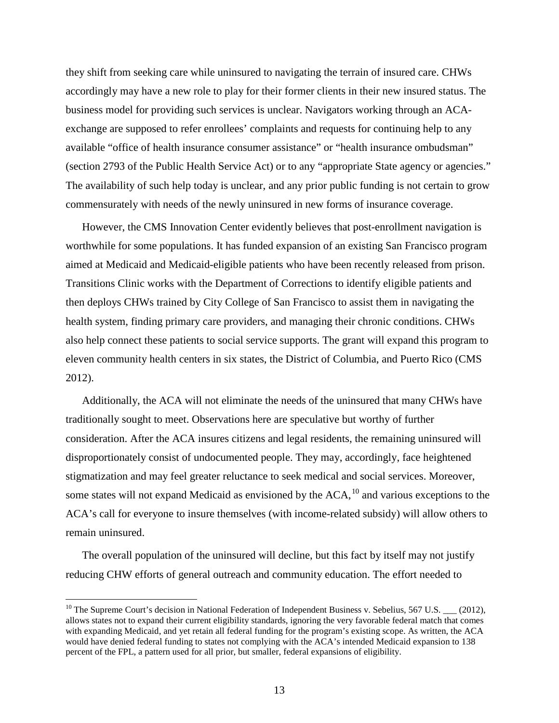they shift from seeking care while uninsured to navigating the terrain of insured care. CHWs accordingly may have a new role to play for their former clients in their new insured status. The business model for providing such services is unclear. Navigators working through an ACAexchange are supposed to refer enrollees' complaints and requests for continuing help to any available "office of health insurance consumer assistance" or "health insurance ombudsman" (section 2793 of the Public Health Service Act) or to any "appropriate State agency or agencies." The availability of such help today is unclear, and any prior public funding is not certain to grow commensurately with needs of the newly uninsured in new forms of insurance coverage.

However, the CMS Innovation Center evidently believes that post-enrollment navigation is worthwhile for some populations. It has funded expansion of an existing San Francisco program aimed at Medicaid and Medicaid-eligible patients who have been recently released from prison. Transitions Clinic works with the Department of Corrections to identify eligible patients and then deploys CHWs trained by City College of San Francisco to assist them in navigating the health system, finding primary care providers, and managing their chronic conditions. CHWs also help connect these patients to social service supports. The grant will expand this program to eleven community health centers in six states, the District of Columbia, and Puerto Rico (CMS 2012).

Additionally, the ACA will not eliminate the needs of the uninsured that many CHWs have traditionally sought to meet. Observations here are speculative but worthy of further consideration. After the ACA insures citizens and legal residents, the remaining uninsured will disproportionately consist of undocumented people. They may, accordingly, face heightened stigmatization and may feel greater reluctance to seek medical and social services. Moreover, some states will not expand Medicaid as envisioned by the  $ACA$ ,  $^{10}$  $^{10}$  $^{10}$  and various exceptions to the ACA's call for everyone to insure themselves (with income-related subsidy) will allow others to remain uninsured.

The overall population of the uninsured will decline, but this fact by itself may not justify reducing CHW efforts of general outreach and community education. The effort needed to

<span id="page-15-0"></span><sup>&</sup>lt;sup>10</sup> The Supreme Court's decision in National Federation of Independent Business v. Sebelius, 567 U.S.  $\_\_$  (2012), allows states not to expand their current eligibility standards, ignoring the very favorable federal match that comes with expanding Medicaid, and yet retain all federal funding for the program's existing scope. As written, the ACA would have denied federal funding to states not complying with the ACA's intended Medicaid expansion to 138 percent of the FPL, a pattern used for all prior, but smaller, federal expansions of eligibility.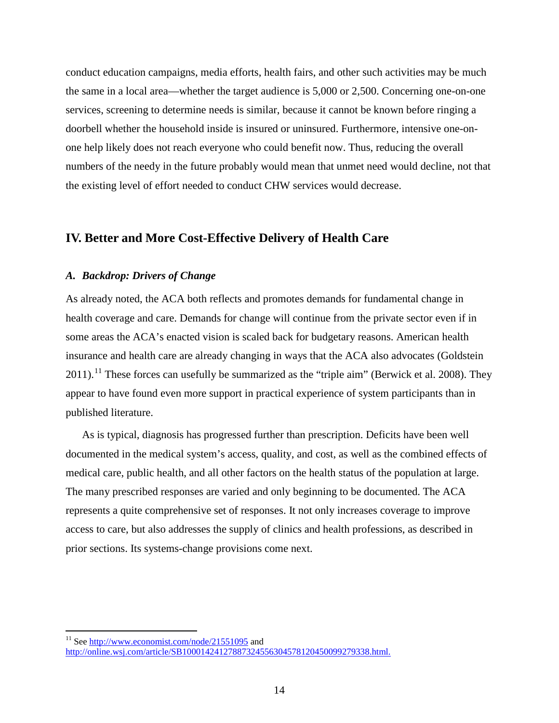conduct education campaigns, media efforts, health fairs, and other such activities may be much the same in a local area—whether the target audience is 5,000 or 2,500. Concerning one-on-one services, screening to determine needs is similar, because it cannot be known before ringing a doorbell whether the household inside is insured or uninsured. Furthermore, intensive one-onone help likely does not reach everyone who could benefit now. Thus, reducing the overall numbers of the needy in the future probably would mean that unmet need would decline, not that the existing level of effort needed to conduct CHW services would decrease.

# **IV. Better and More Cost-Effective Delivery of Health Care**

### *A. Backdrop: Drivers of Change*

As already noted, the ACA both reflects and promotes demands for fundamental change in health coverage and care. Demands for change will continue from the private sector even if in some areas the ACA's enacted vision is scaled back for budgetary reasons. American health insurance and health care are already changing in ways that the ACA also advocates (Goldstein  $2011$  $2011$ .<sup>11</sup> These forces can usefully be summarized as the "triple aim" (Berwick et al. 2008). They appear to have found even more support in practical experience of system participants than in published literature.

As is typical, diagnosis has progressed further than prescription. Deficits have been well documented in the medical system's access, quality, and cost, as well as the combined effects of medical care, public health, and all other factors on the health status of the population at large. The many prescribed responses are varied and only beginning to be documented. The ACA represents a quite comprehensive set of responses. It not only increases coverage to improve access to care, but also addresses the supply of clinics and health professions, as described in prior sections. Its systems-change provisions come next.

<span id="page-16-0"></span><sup>&</sup>lt;sup>11</sup> See<http://www.economist.com/node/21551095> and [http://online.wsj.com/article/SB10001424127887324556304578120450099279338.html.](http://online.wsj.com/article/SB10001424127887324556304578120450099279338.html)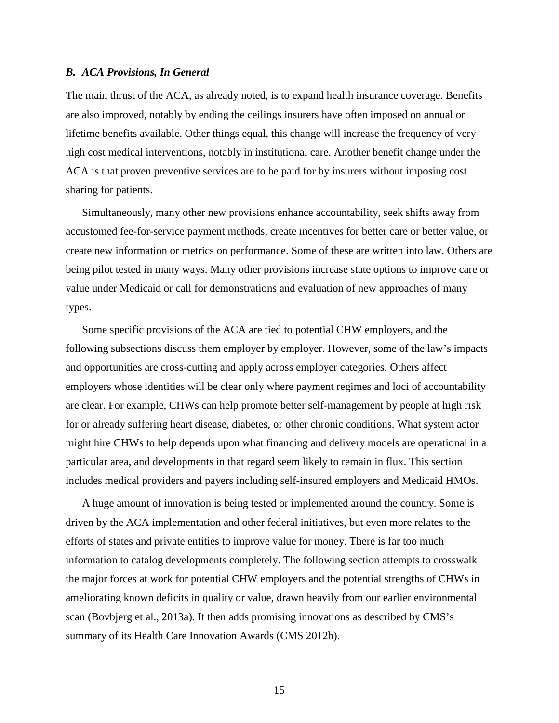#### *B. ACA Provisions, In General*

The main thrust of the ACA, as already noted, is to expand health insurance coverage. Benefits are also improved, notably by ending the ceilings insurers have often imposed on annual or lifetime benefits available. Other things equal, this change will increase the frequency of very high cost medical interventions, notably in institutional care. Another benefit change under the ACA is that proven preventive services are to be paid for by insurers without imposing cost sharing for patients.

Simultaneously, many other new provisions enhance accountability, seek shifts away from accustomed fee-for-service payment methods, create incentives for better care or better value, or create new information or metrics on performance. Some of these are written into law. Others are being pilot tested in many ways. Many other provisions increase state options to improve care or value under Medicaid or call for demonstrations and evaluation of new approaches of many types.

Some specific provisions of the ACA are tied to potential CHW employers, and the following subsections discuss them employer by employer. However, some of the law's impacts and opportunities are cross-cutting and apply across employer categories. Others affect employers whose identities will be clear only where payment regimes and loci of accountability are clear. For example, CHWs can help promote better self-management by people at high risk for or already suffering heart disease, diabetes, or other chronic conditions. What system actor might hire CHWs to help depends upon what financing and delivery models are operational in a particular area, and developments in that regard seem likely to remain in flux. This section includes medical providers and payers including self-insured employers and Medicaid HMOs.

A huge amount of innovation is being tested or implemented around the country. Some is driven by the ACA implementation and other federal initiatives, but even more relates to the efforts of states and private entities to improve value for money. There is far too much information to catalog developments completely. The following section attempts to crosswalk the major forces at work for potential CHW employers and the potential strengths of CHWs in ameliorating known deficits in quality or value, drawn heavily from our earlier environmental scan (Bovbjerg et al., 2013a). It then adds promising innovations as described by CMS's summary of its Health Care Innovation Awards (CMS 2012b).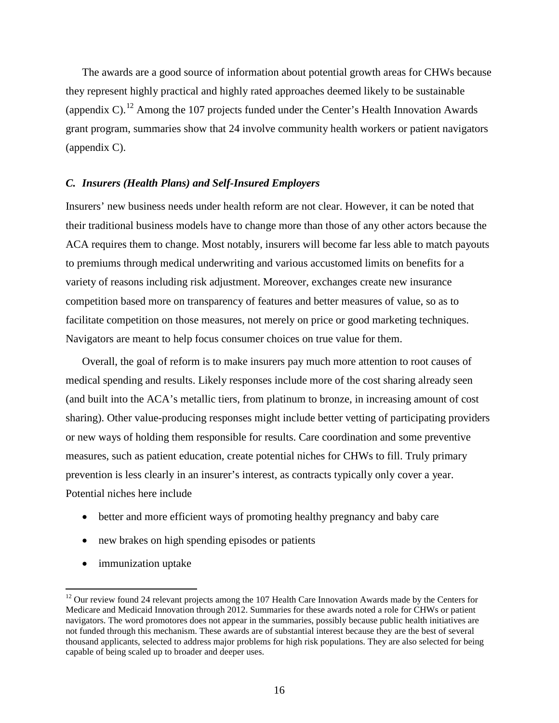The awards are a good source of information about potential growth areas for CHWs because they represent highly practical and highly rated approaches deemed likely to be sustainable (appendix C).<sup>[12](#page-16-0)</sup> Among the 107 projects funded under the Center's Health Innovation Awards grant program, summaries show that 24 involve community health workers or patient navigators (appendix C).

#### *C. Insurers (Health Plans) and Self-Insured Employers*

Insurers' new business needs under health reform are not clear. However, it can be noted that their traditional business models have to change more than those of any other actors because the ACA requires them to change. Most notably, insurers will become far less able to match payouts to premiums through medical underwriting and various accustomed limits on benefits for a variety of reasons including risk adjustment. Moreover, exchanges create new insurance competition based more on transparency of features and better measures of value, so as to facilitate competition on those measures, not merely on price or good marketing techniques. Navigators are meant to help focus consumer choices on true value for them.

Overall, the goal of reform is to make insurers pay much more attention to root causes of medical spending and results. Likely responses include more of the cost sharing already seen (and built into the ACA's metallic tiers, from platinum to bronze, in increasing amount of cost sharing). Other value-producing responses might include better vetting of participating providers or new ways of holding them responsible for results. Care coordination and some preventive measures, such as patient education, create potential niches for CHWs to fill. Truly primary prevention is less clearly in an insurer's interest, as contracts typically only cover a year. Potential niches here include

- better and more efficient ways of promoting healthy pregnancy and baby care
- new brakes on high spending episodes or patients
- immunization uptake

<span id="page-18-0"></span><sup>&</sup>lt;sup>12</sup> Our review found 24 relevant projects among the 107 Health Care Innovation Awards made by the Centers for Medicare and Medicaid Innovation through 2012. Summaries for these awards noted a role for CHWs or patient navigators. The word promotores does not appear in the summaries, possibly because public health initiatives are not funded through this mechanism. These awards are of substantial interest because they are the best of several thousand applicants, selected to address major problems for high risk populations. They are also selected for being capable of being scaled up to broader and deeper uses.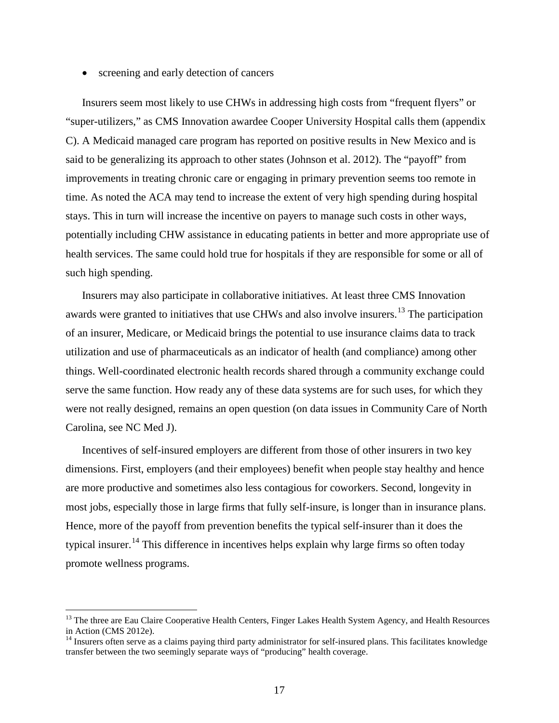• screening and early detection of cancers

Insurers seem most likely to use CHWs in addressing high costs from "frequent flyers" or "super-utilizers," as CMS Innovation awardee Cooper University Hospital calls them (appendix C). A Medicaid managed care program has reported on positive results in New Mexico and is said to be generalizing its approach to other states (Johnson et al. 2012). The "payoff" from improvements in treating chronic care or engaging in primary prevention seems too remote in time. As noted the ACA may tend to increase the extent of very high spending during hospital stays. This in turn will increase the incentive on payers to manage such costs in other ways, potentially including CHW assistance in educating patients in better and more appropriate use of health services. The same could hold true for hospitals if they are responsible for some or all of such high spending.

Insurers may also participate in collaborative initiatives. At least three CMS Innovation awards were granted to initiatives that use CHWs and also involve insurers.<sup>[13](#page-18-0)</sup> The participation of an insurer, Medicare, or Medicaid brings the potential to use insurance claims data to track utilization and use of pharmaceuticals as an indicator of health (and compliance) among other things. Well-coordinated electronic health records shared through a community exchange could serve the same function. How ready any of these data systems are for such uses, for which they were not really designed, remains an open question (on data issues in Community Care of North Carolina, see NC Med J).

Incentives of self-insured employers are different from those of other insurers in two key dimensions. First, employers (and their employees) benefit when people stay healthy and hence are more productive and sometimes also less contagious for coworkers. Second, longevity in most jobs, especially those in large firms that fully self-insure, is longer than in insurance plans. Hence, more of the payoff from prevention benefits the typical self-insurer than it does the typical insurer.<sup>[14](#page-19-0)</sup> This difference in incentives helps explain why large firms so often today promote wellness programs.

<span id="page-19-1"></span><sup>&</sup>lt;sup>13</sup> The three are Eau Claire Cooperative Health Centers, Finger Lakes Health System Agency, and Health Resources in Action (CMS 2012e).

<span id="page-19-0"></span><sup>&</sup>lt;sup>14</sup> Insurers often serve as a claims paying third party administrator for self-insured plans. This facilitates knowledge transfer between the two seemingly separate ways of "producing" health coverage.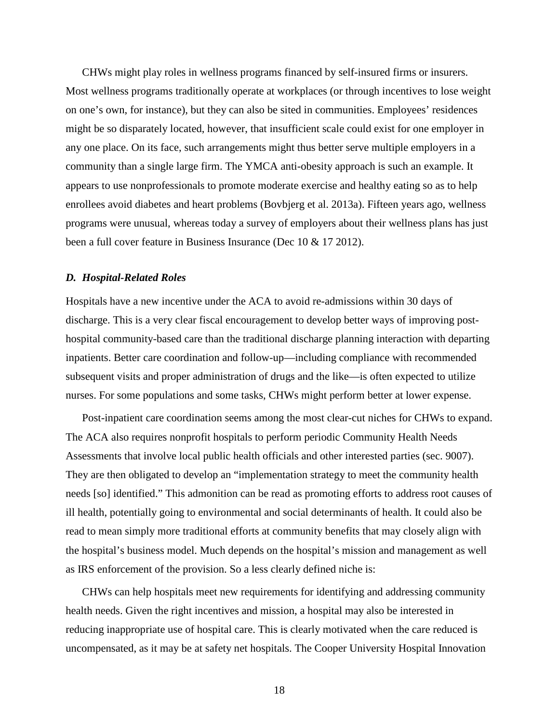CHWs might play roles in wellness programs financed by self-insured firms or insurers. Most wellness programs traditionally operate at workplaces (or through incentives to lose weight on one's own, for instance), but they can also be sited in communities. Employees' residences might be so disparately located, however, that insufficient scale could exist for one employer in any one place. On its face, such arrangements might thus better serve multiple employers in a community than a single large firm. The YMCA anti-obesity approach is such an example. It appears to use nonprofessionals to promote moderate exercise and healthy eating so as to help enrollees avoid diabetes and heart problems (Bovbjerg et al. 2013a). Fifteen years ago, wellness programs were unusual, whereas today a survey of employers about their wellness plans has just been a full cover feature in Business Insurance (Dec 10 & 17 2012).

#### *D. Hospital-Related Roles*

Hospitals have a new incentive under the ACA to avoid re-admissions within 30 days of discharge. This is a very clear fiscal encouragement to develop better ways of improving posthospital community-based care than the traditional discharge planning interaction with departing inpatients. Better care coordination and follow-up—including compliance with recommended subsequent visits and proper administration of drugs and the like—is often expected to utilize nurses. For some populations and some tasks, CHWs might perform better at lower expense.

Post-inpatient care coordination seems among the most clear-cut niches for CHWs to expand. The ACA also requires nonprofit hospitals to perform periodic Community Health Needs Assessments that involve local public health officials and other interested parties (sec. 9007). They are then obligated to develop an "implementation strategy to meet the community health needs [so] identified." This admonition can be read as promoting efforts to address root causes of ill health, potentially going to environmental and social determinants of health. It could also be read to mean simply more traditional efforts at community benefits that may closely align with the hospital's business model. Much depends on the hospital's mission and management as well as IRS enforcement of the provision. So a less clearly defined niche is:

CHWs can help hospitals meet new requirements for identifying and addressing community health needs. Given the right incentives and mission, a hospital may also be interested in reducing inappropriate use of hospital care. This is clearly motivated when the care reduced is uncompensated, as it may be at safety net hospitals. The Cooper University Hospital Innovation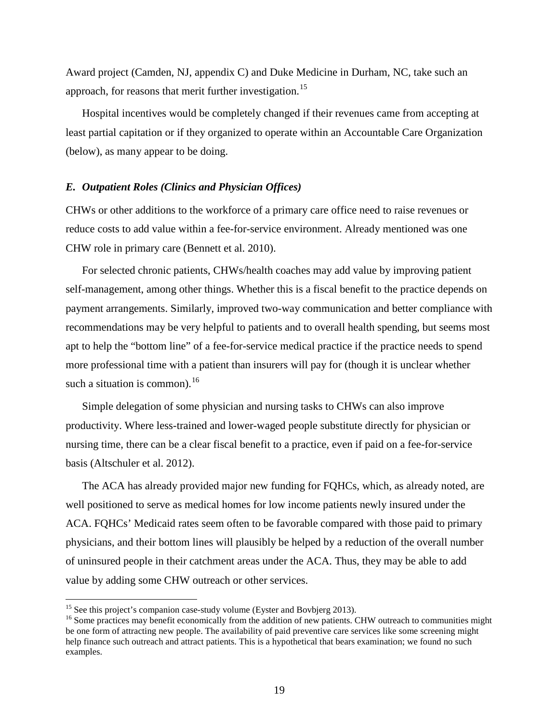Award project (Camden, NJ, appendix C) and Duke Medicine in Durham, NC, take such an approach, for reasons that merit further investigation.<sup>[15](#page-19-1)</sup>

Hospital incentives would be completely changed if their revenues came from accepting at least partial capitation or if they organized to operate within an Accountable Care Organization (below), as many appear to be doing.

#### *E. Outpatient Roles (Clinics and Physician Offices)*

CHWs or other additions to the workforce of a primary care office need to raise revenues or reduce costs to add value within a fee-for-service environment. Already mentioned was one CHW role in primary care (Bennett et al. 2010).

For selected chronic patients, CHWs/health coaches may add value by improving patient self-management, among other things. Whether this is a fiscal benefit to the practice depends on payment arrangements. Similarly, improved two-way communication and better compliance with recommendations may be very helpful to patients and to overall health spending, but seems most apt to help the "bottom line" of a fee-for-service medical practice if the practice needs to spend more professional time with a patient than insurers will pay for (though it is unclear whether such a situation is common).<sup>[16](#page-21-0)</sup>

Simple delegation of some physician and nursing tasks to CHWs can also improve productivity. Where less-trained and lower-waged people substitute directly for physician or nursing time, there can be a clear fiscal benefit to a practice, even if paid on a fee-for-service basis (Altschuler et al. 2012).

The ACA has already provided major new funding for FQHCs, which, as already noted, are well positioned to serve as medical homes for low income patients newly insured under the ACA. FQHCs' Medicaid rates seem often to be favorable compared with those paid to primary physicians, and their bottom lines will plausibly be helped by a reduction of the overall number of uninsured people in their catchment areas under the ACA. Thus, they may be able to add value by adding some CHW outreach or other services.

<span id="page-21-1"></span><span id="page-21-0"></span><sup>&</sup>lt;sup>15</sup> See this project's companion case-study volume (Eyster and Bovbjerg 2013).<br><sup>16</sup> Some practices may benefit economically from the addition of new patients. CHW outreach to communities might be one form of attracting new people. The availability of paid preventive care services like some screening might help finance such outreach and attract patients. This is a hypothetical that bears examination; we found no such examples.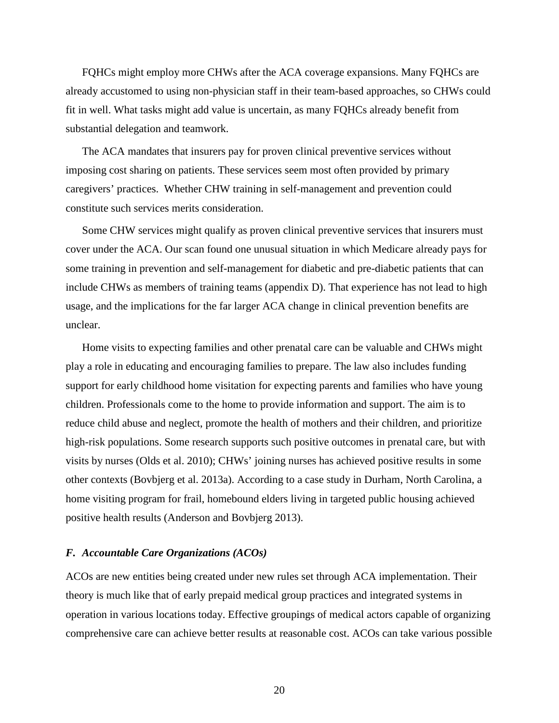FQHCs might employ more CHWs after the ACA coverage expansions. Many FQHCs are already accustomed to using non-physician staff in their team-based approaches, so CHWs could fit in well. What tasks might add value is uncertain, as many FQHCs already benefit from substantial delegation and teamwork.

The ACA mandates that insurers pay for proven clinical preventive services without imposing cost sharing on patients. These services seem most often provided by primary caregivers' practices. Whether CHW training in self-management and prevention could constitute such services merits consideration.

Some CHW services might qualify as proven clinical preventive services that insurers must cover under the ACA. Our scan found one unusual situation in which Medicare already pays for some training in prevention and self-management for diabetic and pre-diabetic patients that can include CHWs as members of training teams (appendix D). That experience has not lead to high usage, and the implications for the far larger ACA change in clinical prevention benefits are unclear.

Home visits to expecting families and other prenatal care can be valuable and CHWs might play a role in educating and encouraging families to prepare. The law also includes funding support for early childhood home visitation for expecting parents and families who have young children. Professionals come to the home to provide information and support. The aim is to reduce child abuse and neglect, promote the health of mothers and their children, and prioritize high-risk populations. Some research supports such positive outcomes in prenatal care, but with visits by nurses (Olds et al. 2010); CHWs' joining nurses has achieved positive results in some other contexts (Bovbjerg et al. 2013a). According to a case study in Durham, North Carolina, a home visiting program for frail, homebound elders living in targeted public housing achieved positive health results (Anderson and Bovbjerg 2013).

#### *F. Accountable Care Organizations (ACOs)*

ACOs are new entities being created under new rules set through ACA implementation. Their theory is much like that of early prepaid medical group practices and integrated systems in operation in various locations today. Effective groupings of medical actors capable of organizing comprehensive care can achieve better results at reasonable cost. ACOs can take various possible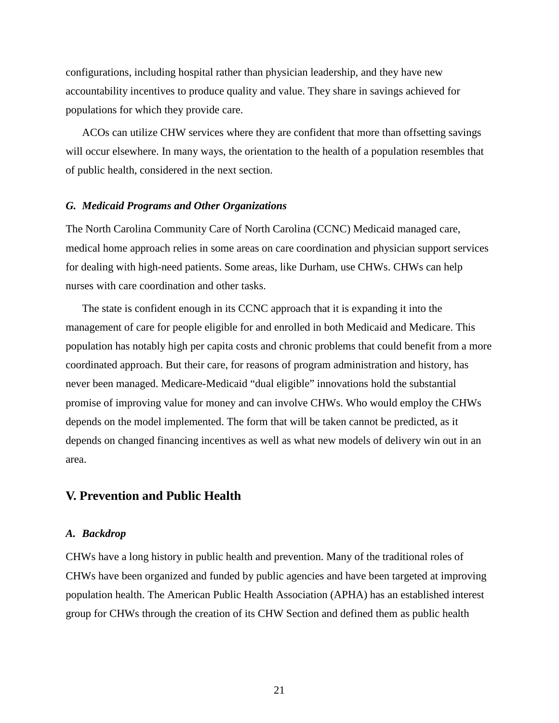configurations, including hospital rather than physician leadership, and they have new accountability incentives to produce quality and value. They share in savings achieved for populations for which they provide care.

ACOs can utilize CHW services where they are confident that more than offsetting savings will occur elsewhere. In many ways, the orientation to the health of a population resembles that of public health, considered in the next section.

#### *G. Medicaid Programs and Other Organizations*

The North Carolina Community Care of North Carolina (CCNC) Medicaid managed care, medical home approach relies in some areas on care coordination and physician support services for dealing with high-need patients. Some areas, like Durham, use CHWs. CHWs can help nurses with care coordination and other tasks.

The state is confident enough in its CCNC approach that it is expanding it into the management of care for people eligible for and enrolled in both Medicaid and Medicare. This population has notably high per capita costs and chronic problems that could benefit from a more coordinated approach. But their care, for reasons of program administration and history, has never been managed. Medicare-Medicaid "dual eligible" innovations hold the substantial promise of improving value for money and can involve CHWs. Who would employ the CHWs depends on the model implemented. The form that will be taken cannot be predicted, as it depends on changed financing incentives as well as what new models of delivery win out in an area.

### **V. Prevention and Public Health**

#### *A. Backdrop*

CHWs have a long history in public health and prevention. Many of the traditional roles of CHWs have been organized and funded by public agencies and have been targeted at improving population health. The American Public Health Association (APHA) has an established interest group for CHWs through the creation of its CHW Section and defined them as public health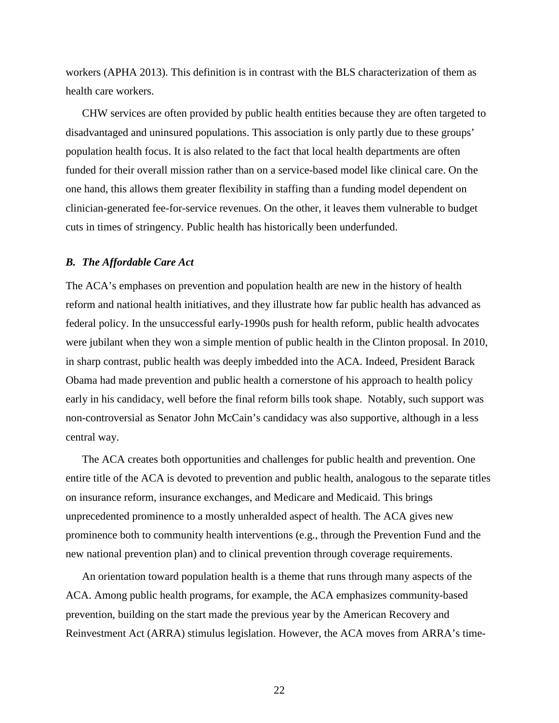workers (APHA 2013). This definition is in contrast with the BLS characterization of them as health care workers.

CHW services are often provided by public health entities because they are often targeted to disadvantaged and uninsured populations. This association is only partly due to these groups' population health focus. It is also related to the fact that local health departments are often funded for their overall mission rather than on a service-based model like clinical care. On the one hand, this allows them greater flexibility in staffing than a funding model dependent on clinician-generated fee-for-service revenues. On the other, it leaves them vulnerable to budget cuts in times of stringency. Public health has historically been underfunded.

#### *B. The Affordable Care Act*

The ACA's emphases on prevention and population health are new in the history of health reform and national health initiatives, and they illustrate how far public health has advanced as federal policy. In the unsuccessful early-1990s push for health reform, public health advocates were jubilant when they won a simple mention of public health in the Clinton proposal. In 2010, in sharp contrast, public health was deeply imbedded into the ACA. Indeed, President Barack Obama had made prevention and public health a cornerstone of his approach to health policy early in his candidacy, well before the final reform bills took shape. Notably, such support was non-controversial as Senator John McCain's candidacy was also supportive, although in a less central way.

The ACA creates both opportunities and challenges for public health and prevention. One entire title of the ACA is devoted to prevention and public health, analogous to the separate titles on insurance reform, insurance exchanges, and Medicare and Medicaid. This brings unprecedented prominence to a mostly unheralded aspect of health. The ACA gives new prominence both to community health interventions (e.g., through the Prevention Fund and the new national prevention plan) and to clinical prevention through coverage requirements.

An orientation toward population health is a theme that runs through many aspects of the ACA. Among public health programs, for example, the ACA emphasizes community-based prevention, building on the start made the previous year by the American Recovery and Reinvestment Act (ARRA) stimulus legislation. However, the ACA moves from ARRA's time-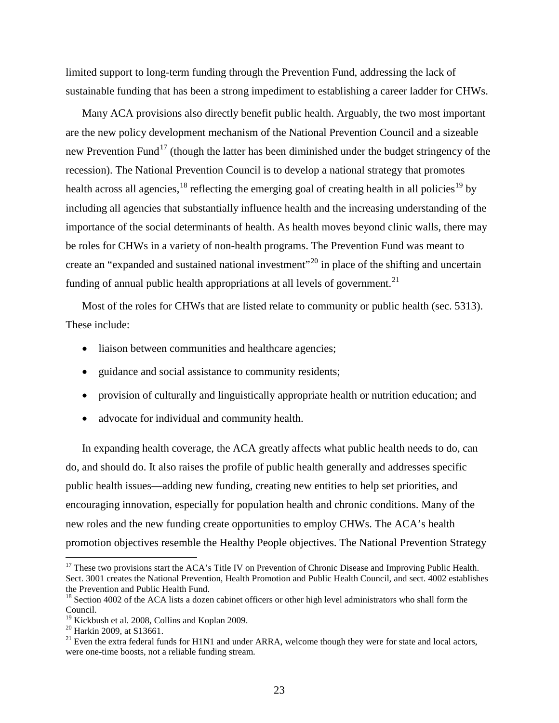limited support to long-term funding through the Prevention Fund, addressing the lack of sustainable funding that has been a strong impediment to establishing a career ladder for CHWs.

Many ACA provisions also directly benefit public health. Arguably, the two most important are the new policy development mechanism of the National Prevention Council and a sizeable new Prevention Fund<sup>[17](#page-21-1)</sup> (though the latter has been diminished under the budget stringency of the recession). The National Prevention Council is to develop a national strategy that promotes health across all agencies, <sup>[18](#page-25-0)</sup> reflecting the emerging goal of creating health in all policies<sup>[19](#page-25-1)</sup> by including all agencies that substantially influence health and the increasing understanding of the importance of the social determinants of health. As health moves beyond clinic walls, there may be roles for CHWs in a variety of non-health programs. The Prevention Fund was meant to create an "expanded and sustained national investment"<sup>[20](#page-25-2)</sup> in place of the shifting and uncertain funding of annual public health appropriations at all levels of government.<sup>[21](#page-25-3)</sup>

Most of the roles for CHWs that are listed relate to community or public health (sec. 5313). These include:

- liaison between communities and healthcare agencies;
- guidance and social assistance to community residents;
- provision of culturally and linguistically appropriate health or nutrition education; and
- advocate for individual and community health.

In expanding health coverage, the ACA greatly affects what public health needs to do, can do, and should do. It also raises the profile of public health generally and addresses specific public health issues—adding new funding, creating new entities to help set priorities, and encouraging innovation, especially for population health and chronic conditions. Many of the new roles and the new funding create opportunities to employ CHWs. The ACA's health promotion objectives resemble the Healthy People objectives. The National Prevention Strategy

<sup>&</sup>lt;sup>17</sup> These two provisions start the ACA's Title IV on Prevention of Chronic Disease and Improving Public Health. Sect. 3001 creates the National Prevention, Health Promotion and Public Health Council, and sect. 4002 establishes the Prevention and Public Health Fund.

<span id="page-25-0"></span><sup>&</sup>lt;sup>18</sup> Section 4002 of the ACA lists a dozen cabinet officers or other high level administrators who shall form the Council.<br><sup>19</sup> Kickbush et al. 2008, Collins and Koplan 2009.

<span id="page-25-3"></span><span id="page-25-2"></span><span id="page-25-1"></span><sup>&</sup>lt;sup>20</sup> Harkin 2009, at S13661.<br><sup>21</sup> Even the extra federal funds for H1N1 and under ARRA, welcome though they were for state and local actors, were one-time boosts, not a reliable funding stream.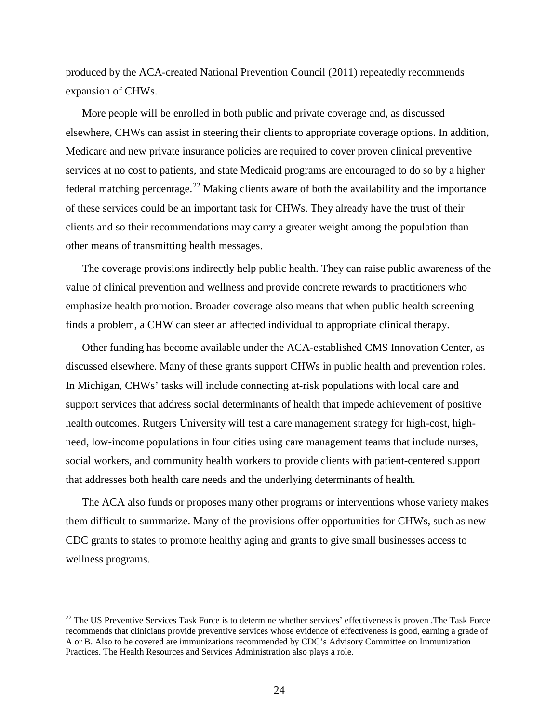produced by the ACA-created National Prevention Council (2011) repeatedly recommends expansion of CHWs.

More people will be enrolled in both public and private coverage and, as discussed elsewhere, CHWs can assist in steering their clients to appropriate coverage options. In addition, Medicare and new private insurance policies are required to cover proven clinical preventive services at no cost to patients, and state Medicaid programs are encouraged to do so by a higher federal matching percentage.<sup>[22](#page-25-1)</sup> Making clients aware of both the availability and the importance of these services could be an important task for CHWs. They already have the trust of their clients and so their recommendations may carry a greater weight among the population than other means of transmitting health messages.

The coverage provisions indirectly help public health. They can raise public awareness of the value of clinical prevention and wellness and provide concrete rewards to practitioners who emphasize health promotion. Broader coverage also means that when public health screening finds a problem, a CHW can steer an affected individual to appropriate clinical therapy.

Other funding has become available under the ACA-established CMS Innovation Center, as discussed elsewhere. Many of these grants support CHWs in public health and prevention roles. In Michigan, CHWs' tasks will include connecting at-risk populations with local care and support services that address social determinants of health that impede achievement of positive health outcomes. Rutgers University will test a care management strategy for high-cost, highneed, low-income populations in four cities using care management teams that include nurses, social workers, and community health workers to provide clients with patient-centered support that addresses both health care needs and the underlying determinants of health.

The ACA also funds or proposes many other programs or interventions whose variety makes them difficult to summarize. Many of the provisions offer opportunities for CHWs, such as new CDC grants to states to promote healthy aging and grants to give small businesses access to wellness programs.

<span id="page-26-0"></span> $22$  The US Preventive Services Task Force is to determine whether services' effectiveness is proven .The Task Force recommends that clinicians provide preventive services whose evidence of effectiveness is good, earning a grade of A or B. Also to be covered are immunizations recommended by CDC's Advisory Committee on Immunization Practices. The Health Resources and Services Administration also plays a role.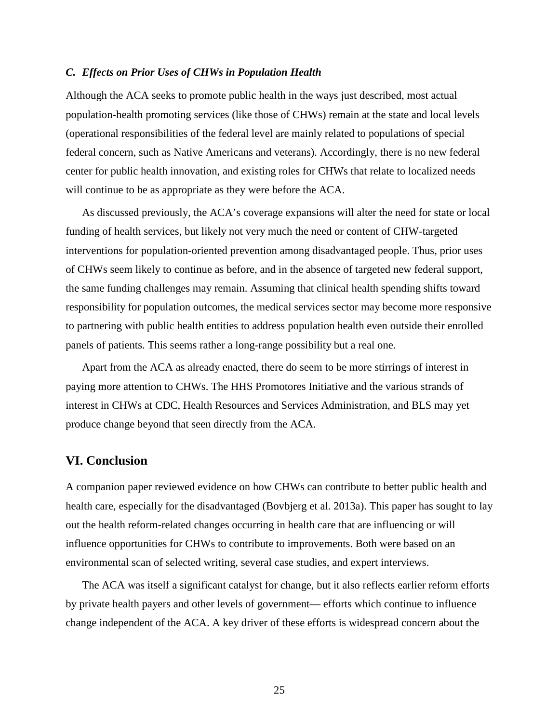#### *C. Effects on Prior Uses of CHWs in Population Health*

Although the ACA seeks to promote public health in the ways just described, most actual population-health promoting services (like those of CHWs) remain at the state and local levels (operational responsibilities of the federal level are mainly related to populations of special federal concern, such as Native Americans and veterans). Accordingly, there is no new federal center for public health innovation, and existing roles for CHWs that relate to localized needs will continue to be as appropriate as they were before the ACA.

As discussed previously, the ACA's coverage expansions will alter the need for state or local funding of health services, but likely not very much the need or content of CHW-targeted interventions for population-oriented prevention among disadvantaged people. Thus, prior uses of CHWs seem likely to continue as before, and in the absence of targeted new federal support, the same funding challenges may remain. Assuming that clinical health spending shifts toward responsibility for population outcomes, the medical services sector may become more responsive to partnering with public health entities to address population health even outside their enrolled panels of patients. This seems rather a long-range possibility but a real one.

Apart from the ACA as already enacted, there do seem to be more stirrings of interest in paying more attention to CHWs. The HHS Promotores Initiative and the various strands of interest in CHWs at CDC, Health Resources and Services Administration, and BLS may yet produce change beyond that seen directly from the ACA.

### **VI. Conclusion**

A companion paper reviewed evidence on how CHWs can contribute to better public health and health care, especially for the disadvantaged (Bovbjerg et al. 2013a). This paper has sought to lay out the health reform-related changes occurring in health care that are influencing or will influence opportunities for CHWs to contribute to improvements. Both were based on an environmental scan of selected writing, several case studies, and expert interviews.

The ACA was itself a significant catalyst for change, but it also reflects earlier reform efforts by private health payers and other levels of government— efforts which continue to influence change independent of the ACA. A key driver of these efforts is widespread concern about the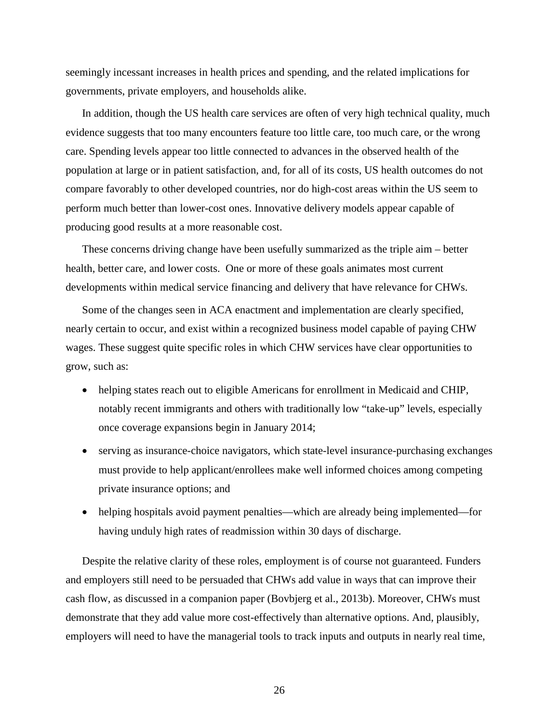seemingly incessant increases in health prices and spending, and the related implications for governments, private employers, and households alike.

In addition, though the US health care services are often of very high technical quality, much evidence suggests that too many encounters feature too little care, too much care, or the wrong care. Spending levels appear too little connected to advances in the observed health of the population at large or in patient satisfaction, and, for all of its costs, US health outcomes do not compare favorably to other developed countries, nor do high-cost areas within the US seem to perform much better than lower-cost ones. Innovative delivery models appear capable of producing good results at a more reasonable cost.

These concerns driving change have been usefully summarized as the triple aim – better health, better care, and lower costs. One or more of these goals animates most current developments within medical service financing and delivery that have relevance for CHWs.

Some of the changes seen in ACA enactment and implementation are clearly specified, nearly certain to occur, and exist within a recognized business model capable of paying CHW wages. These suggest quite specific roles in which CHW services have clear opportunities to grow, such as:

- helping states reach out to eligible Americans for enrollment in Medicaid and CHIP, notably recent immigrants and others with traditionally low "take-up" levels, especially once coverage expansions begin in January 2014;
- serving as insurance-choice navigators, which state-level insurance-purchasing exchanges must provide to help applicant/enrollees make well informed choices among competing private insurance options; and
- helping hospitals avoid payment penalties—which are already being implemented—for having unduly high rates of readmission within 30 days of discharge.

Despite the relative clarity of these roles, employment is of course not guaranteed. Funders and employers still need to be persuaded that CHWs add value in ways that can improve their cash flow, as discussed in a companion paper (Bovbjerg et al., 2013b). Moreover, CHWs must demonstrate that they add value more cost-effectively than alternative options. And, plausibly, employers will need to have the managerial tools to track inputs and outputs in nearly real time,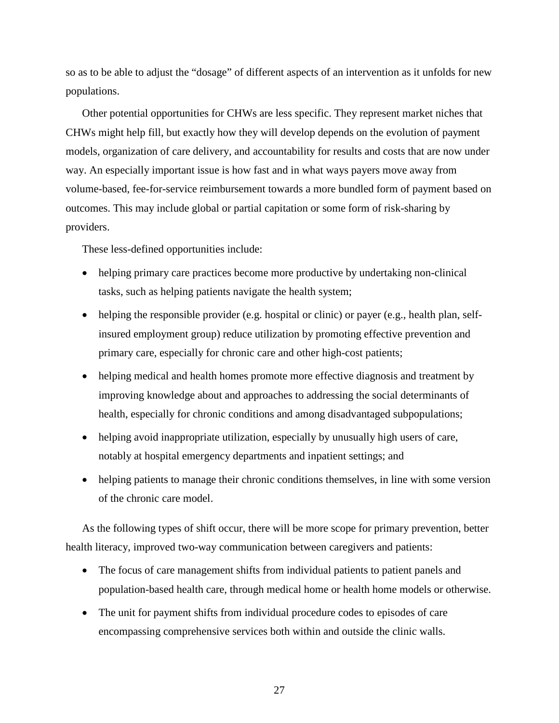so as to be able to adjust the "dosage" of different aspects of an intervention as it unfolds for new populations.

Other potential opportunities for CHWs are less specific. They represent market niches that CHWs might help fill, but exactly how they will develop depends on the evolution of payment models, organization of care delivery, and accountability for results and costs that are now under way. An especially important issue is how fast and in what ways payers move away from volume-based, fee-for-service reimbursement towards a more bundled form of payment based on outcomes. This may include global or partial capitation or some form of risk-sharing by providers.

These less-defined opportunities include:

- helping primary care practices become more productive by undertaking non-clinical tasks, such as helping patients navigate the health system;
- helping the responsible provider (e.g. hospital or clinic) or payer (e.g., health plan, selfinsured employment group) reduce utilization by promoting effective prevention and primary care, especially for chronic care and other high-cost patients;
- helping medical and health homes promote more effective diagnosis and treatment by improving knowledge about and approaches to addressing the social determinants of health, especially for chronic conditions and among disadvantaged subpopulations;
- helping avoid inappropriate utilization, especially by unusually high users of care, notably at hospital emergency departments and inpatient settings; and
- helping patients to manage their chronic conditions themselves, in line with some version of the chronic care model.

As the following types of shift occur, there will be more scope for primary prevention, better health literacy, improved two-way communication between caregivers and patients:

- The focus of care management shifts from individual patients to patient panels and population-based health care, through medical home or health home models or otherwise.
- The unit for payment shifts from individual procedure codes to episodes of care encompassing comprehensive services both within and outside the clinic walls.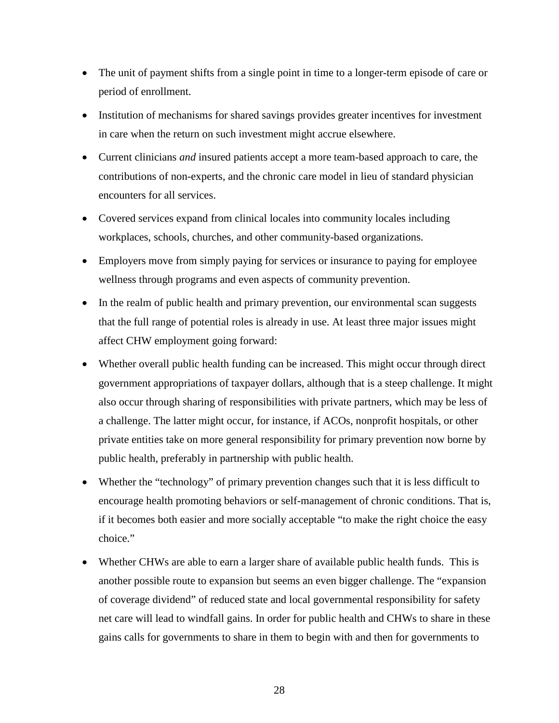- The unit of payment shifts from a single point in time to a longer-term episode of care or period of enrollment.
- Institution of mechanisms for shared savings provides greater incentives for investment in care when the return on such investment might accrue elsewhere.
- Current clinicians *and* insured patients accept a more team-based approach to care, the contributions of non-experts, and the chronic care model in lieu of standard physician encounters for all services.
- Covered services expand from clinical locales into community locales including workplaces, schools, churches, and other community-based organizations.
- Employers move from simply paying for services or insurance to paying for employee wellness through programs and even aspects of community prevention.
- In the realm of public health and primary prevention, our environmental scan suggests that the full range of potential roles is already in use. At least three major issues might affect CHW employment going forward:
- Whether overall public health funding can be increased. This might occur through direct government appropriations of taxpayer dollars, although that is a steep challenge. It might also occur through sharing of responsibilities with private partners, which may be less of a challenge. The latter might occur, for instance, if ACOs, nonprofit hospitals, or other private entities take on more general responsibility for primary prevention now borne by public health, preferably in partnership with public health.
- Whether the "technology" of primary prevention changes such that it is less difficult to encourage health promoting behaviors or self-management of chronic conditions. That is, if it becomes both easier and more socially acceptable "to make the right choice the easy choice."
- Whether CHWs are able to earn a larger share of available public health funds. This is another possible route to expansion but seems an even bigger challenge. The "expansion of coverage dividend" of reduced state and local governmental responsibility for safety net care will lead to windfall gains. In order for public health and CHWs to share in these gains calls for governments to share in them to begin with and then for governments to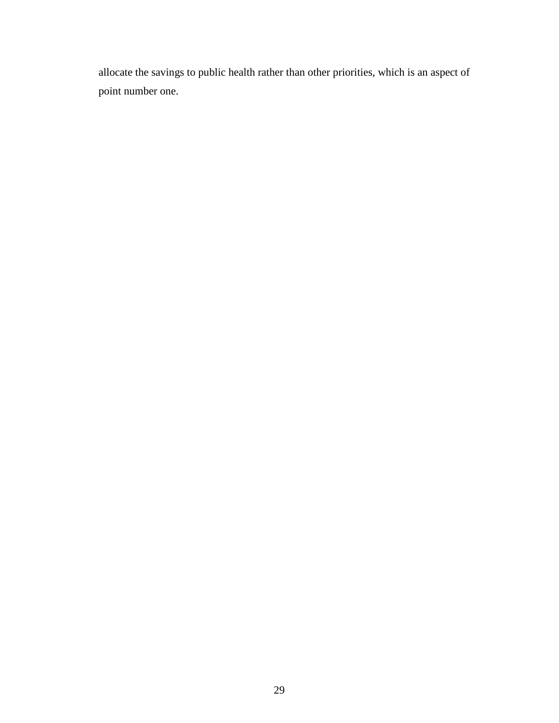allocate the savings to public health rather than other priorities, which is an aspect of point number one.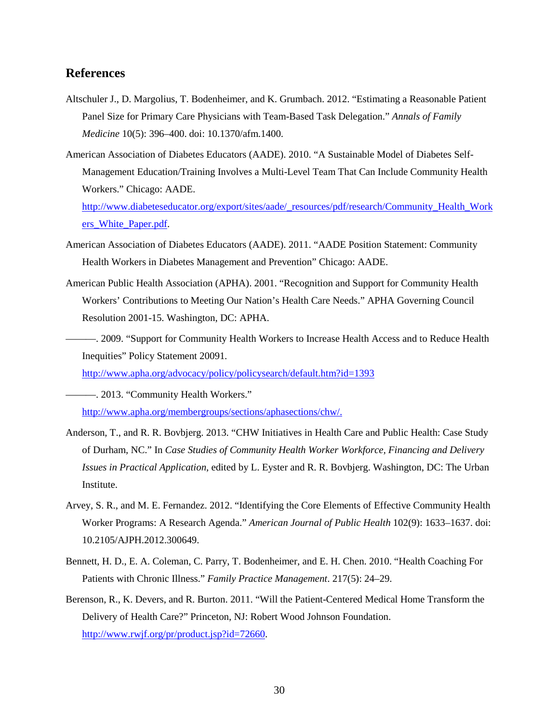### **References**

- Altschuler J., D. Margolius, T. Bodenheimer, and K. Grumbach. 2012. "Estimating a Reasonable Patient Panel Size for Primary Care Physicians with Team-Based Task Delegation." *Annals of Family Medicine* 10(5): 396–400. doi: 10.1370/afm.1400.
- American Association of Diabetes Educators (AADE). 2010. "A Sustainable Model of Diabetes Self-Management Education/Training Involves a Multi-Level Team That Can Include Community Health Workers." Chicago: AADE.

[http://www.diabeteseducator.org/export/sites/aade/\\_resources/pdf/research/Community\\_Health\\_Work](http://www.diabeteseducator.org/export/sites/aade/_resources/pdf/research/Community_Health_Workers_White_Paper.pdf) [ers\\_White\\_Paper.pdf.](http://www.diabeteseducator.org/export/sites/aade/_resources/pdf/research/Community_Health_Workers_White_Paper.pdf)

- American Association of Diabetes Educators (AADE). 2011. "AADE Position Statement: Community Health Workers in Diabetes Management and Prevention" Chicago: AADE.
- American Public Health Association (APHA). 2001. "Recognition and Support for Community Health Workers' Contributions to Meeting Our Nation's Health Care Needs." APHA Governing Council Resolution 2001-15. Washington, DC: APHA.
- ———. 2009. "Support for Community Health Workers to Increase Health Access and to Reduce Health Inequities" Policy Statement 20091.

<http://www.apha.org/advocacy/policy/policysearch/default.htm?id=1393>

- 2013. "Community Health Workers." [http://www.apha.org/membergroups/sections/aphasections/chw/.](http://www.apha.org/membergroups/sections/aphasections/chw/)
- Anderson, T., and R. R. Bovbjerg. 2013. "CHW Initiatives in Health Care and Public Health: Case Study of Durham, NC." In *Case Studies of Community Health Worker Workforce, Financing and Delivery Issues in Practical Application*, edited by L. Eyster and R. R. Bovbjerg. Washington, DC: The Urban Institute.
- Arvey, S. R., and M. E. Fernandez. 2012. "Identifying the Core Elements of Effective Community Health Worker Programs: A Research Agenda." *American Journal of Public Health* 102(9): 1633–1637. doi: 10.2105/AJPH.2012.300649.
- Bennett, H. D., E. A. Coleman, C. Parry, T. Bodenheimer, and E. H. Chen. 2010. "Health Coaching For Patients with Chronic Illness." *Family Practice Management*. 217(5): 24–29.
- Berenson, R., K. Devers, and R. Burton. 2011. "Will the Patient-Centered Medical Home Transform the Delivery of Health Care?" Princeton, NJ: Robert Wood Johnson Foundation. [http://www.rwjf.org/pr/product.jsp?id=72660.](http://www.rwjf.org/pr/product.jsp?id=72660)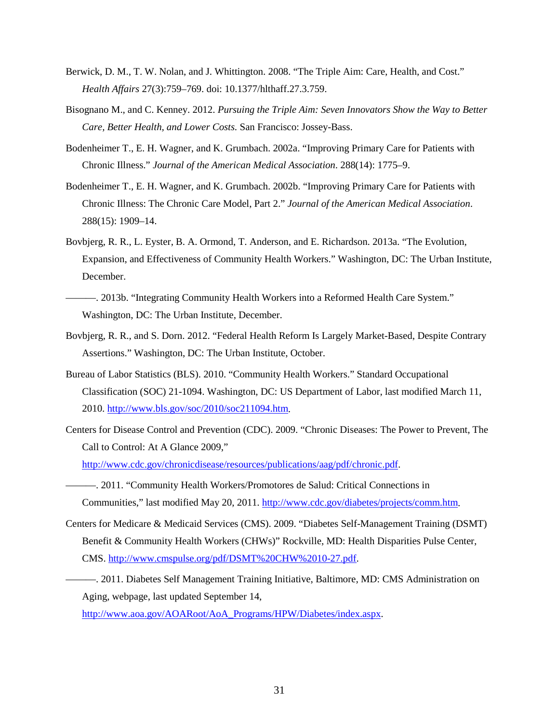- Berwick, D. M., T. W. Nolan, and J. Whittington. 2008. "The Triple Aim: Care, Health, and Cost." *Health Affairs* 27(3):759–769. doi: 10.1377/hlthaff.27.3.759.
- Bisognano M., and C. Kenney. 2012. *Pursuing the Triple Aim: Seven Innovators Show the Way to Better Care, Better Health, and Lower Costs.* San Francisco: Jossey-Bass.
- Bodenheimer T., E. H. Wagner, and K. Grumbach. 2002a. "Improving Primary Care for Patients with Chronic Illness." *Journal of the American Medical Association*. 288(14): 1775–9.
- Bodenheimer T., E. H. Wagner, and K. Grumbach. 2002b. "Improving Primary Care for Patients with Chronic Illness: The Chronic Care Model, Part 2." *Journal of the American Medical Association*. 288(15): 1909–14.
- Bovbjerg, R. R., L. Eyster, B. A. Ormond, T. Anderson, and E. Richardson. 2013a. "The Evolution, Expansion, and Effectiveness of Community Health Workers." Washington, DC: The Urban Institute, December.
- ———. 2013b. "Integrating Community Health Workers into a Reformed Health Care System." Washington, DC: The Urban Institute, December.
- Bovbjerg, R. R., and S. Dorn. 2012. "Federal Health Reform Is Largely Market-Based, Despite Contrary Assertions." Washington, DC: The Urban Institute, October.
- Bureau of Labor Statistics (BLS). 2010. "Community Health Workers." Standard Occupational Classification (SOC) 21-1094. Washington, DC: US Department of Labor, last modified March 11, 2010. [http://www.bls.gov/soc/2010/soc211094.htm.](http://www.bls.gov/soc/2010/soc211094.htm)
- Centers for Disease Control and Prevention (CDC). 2009. "Chronic Diseases: The Power to Prevent, The Call to Control: At A Glance 2009," [http://www.cdc.gov/chronicdisease/resources/publications/aag/pdf/chronic.pdf.](http://www.cdc.gov/chronicdisease/resources/publications/aag/pdf/chronic.pdf)
- ———. 2011. "Community Health Workers/Promotores de Salud: Critical Connections in
	- Communities," last modified May 20, 2011. [http://www.cdc.gov/diabetes/projects/comm.htm.](http://www.cdc.gov/diabetes/projects/comm.htm)
- Centers for Medicare & Medicaid Services (CMS). 2009. "Diabetes Self-Management Training (DSMT) Benefit & Community Health Workers (CHWs)" Rockville, MD: Health Disparities Pulse Center, CMS. [http://www.cmspulse.org/pdf/DSMT%20CHW%2010-27.pdf.](http://www.cmspulse.org/pdf/DSMT%20CHW%2010-27.pdf)
- ———. 2011. Diabetes Self Management Training Initiative, Baltimore, MD: CMS Administration on Aging, webpage, last updated September 14, [http://www.aoa.gov/AOARoot/AoA\\_Programs/HPW/Diabetes/index.aspx.](http://www.aoa.gov/AOARoot/AoA_Programs/HPW/Diabetes/index.aspx)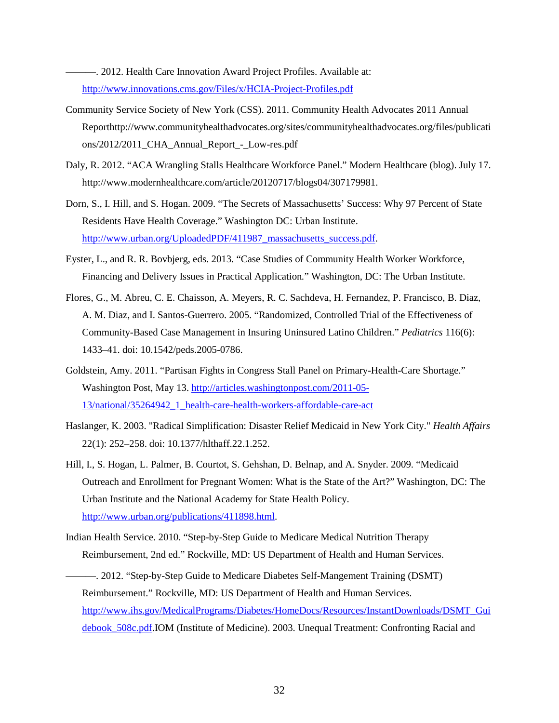———. 2012. Health Care Innovation Award Project Profiles. Available at: <http://www.innovations.cms.gov/Files/x/HCIA-Project-Profiles.pdf>

- Community Service Society of New York (CSS). 2011. Community Health Advocates 2011 Annual Reporthttp://www.communityhealthadvocates.org/sites/communityhealthadvocates.org/files/publicati ons/2012/2011\_CHA\_Annual\_Report\_-\_Low-res.pdf
- Daly, R. 2012. "ACA Wrangling Stalls Healthcare Workforce Panel." Modern Healthcare (blog). July 17. http://www.modernhealthcare.com/article/20120717/blogs04/307179981.
- Dorn, S., I. Hill, and S. Hogan. 2009. "The Secrets of Massachusetts' Success: Why 97 Percent of State Residents Have Health Coverage." Washington DC: Urban Institute. [http://www.urban.org/UploadedPDF/411987\\_massachusetts\\_success.pdf.](http://www.urban.org/UploadedPDF/411987_massachusetts_success.pdf)
- Eyster, L., and R. R. Bovbjerg, eds. 2013. "Case Studies of Community Health Worker Workforce, Financing and Delivery Issues in Practical Application*.*" Washington, DC: The Urban Institute.
- Flores, G., M. Abreu, C. E. Chaisson, A. Meyers, R. C. Sachdeva, H. Fernandez, P. Francisco, B. Diaz, A. M. Diaz, and I. Santos-Guerrero. 2005. "Randomized, Controlled Trial of the Effectiveness of Community-Based Case Management in Insuring Uninsured Latino Children." *Pediatrics* 116(6): 1433–41. doi: 10.1542/peds.2005-0786.
- Goldstein, Amy. 2011. "Partisan Fights in Congress Stall Panel on Primary-Health-Care Shortage." Washington Post, May 13. [http://articles.washingtonpost.com/2011-05-](http://articles.washingtonpost.com/2011-05-13/national/35264942_1_health-care-health-workers-affordable-care-act) [13/national/35264942\\_1\\_health-care-health-workers-affordable-care-act](http://articles.washingtonpost.com/2011-05-13/national/35264942_1_health-care-health-workers-affordable-care-act)
- Haslanger, K. 2003. "Radical Simplification: Disaster Relief Medicaid in New York City." *Health Affairs* 22(1): 252–258. doi: 10.1377/hlthaff.22.1.252.
- Hill, I., S. Hogan, L. Palmer, B. Courtot, S. Gehshan, D. Belnap, and A. Snyder. 2009. "Medicaid Outreach and Enrollment for Pregnant Women: What is the State of the Art?" Washington, DC: The Urban Institute and the National Academy for State Health Policy. http://www.urban.org/publications/411898.html.
- Indian Health Service. 2010. "Step-by-Step Guide to Medicare Medical Nutrition Therapy Reimbursement, 2nd ed." Rockville, MD: US Department of Health and Human Services.
- –. 2012. "Step-by-Step Guide to Medicare Diabetes Self-Mangement Training (DSMT) Reimbursement." Rockville, MD: US Department of Health and Human Services. [http://www.ihs.gov/MedicalPrograms/Diabetes/HomeDocs/Resources/InstantDownloads/DSMT\\_Gui](http://www.ihs.gov/MedicalPrograms/Diabetes/HomeDocs/Resources/InstantDownloads/DSMT_Guidebook_508c.pdf) [debook\\_508c.pdf.](http://www.ihs.gov/MedicalPrograms/Diabetes/HomeDocs/Resources/InstantDownloads/DSMT_Guidebook_508c.pdf)IOM (Institute of Medicine). 2003. Unequal Treatment: Confronting Racial and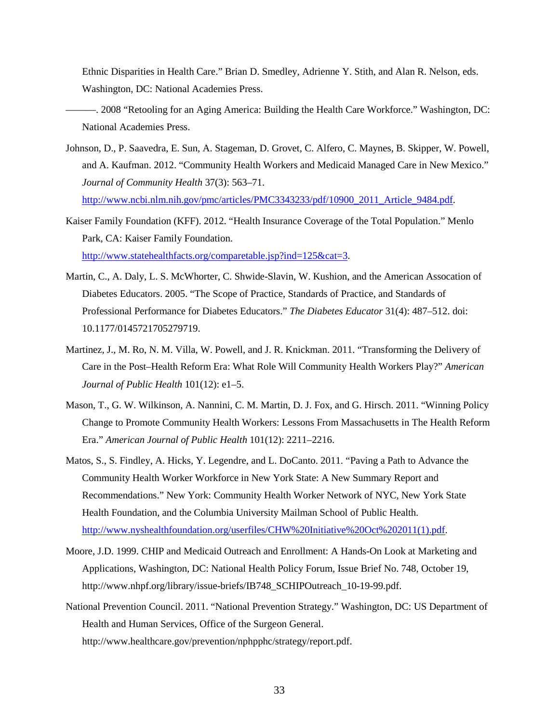Ethnic Disparities in Health Care." Brian D. Smedley, Adrienne Y. Stith, and Alan R. Nelson, eds. Washington, DC: National Academies Press.

- ———. 2008 "Retooling for an Aging America: Building the Health Care Workforce." Washington, DC: National Academies Press.
- Johnson, D., P. Saavedra, E. Sun, A. Stageman, D. Grovet, C. Alfero, C. Maynes, B. Skipper, W. Powell, and A. Kaufman. 2012. "Community Health Workers and Medicaid Managed Care in New Mexico." *Journal of Community Health* 37(3): 563–71. [http://www.ncbi.nlm.nih.gov/pmc/articles/PMC3343233/pdf/10900\\_2011\\_Article\\_9484.pdf.](http://www.ncbi.nlm.nih.gov/pmc/articles/PMC3343233/pdf/10900_2011_Article_9484.pdf)
- Kaiser Family Foundation (KFF). 2012. "Health Insurance Coverage of the Total Population." Menlo Park, CA: Kaiser Family Foundation. [http://www.statehealthfacts.org/comparetable.jsp?ind=125&cat=3.](http://www.statehealthfacts.org/comparetable.jsp?ind=125&cat=3)
- Martin, C., A. Daly, L. S. McWhorter, C. Shwide-Slavin, W. Kushion, and the American Assocation of Diabetes Educators. 2005. "The Scope of Practice, Standards of Practice, and Standards of Professional Performance for Diabetes Educators." *The Diabetes Educator* 31(4): 487–512. doi: 10.1177/0145721705279719.
- Martinez, J., M. Ro, N. M. Villa, W. Powell, and J. R. Knickman. 2011. "Transforming the Delivery of Care in the Post–Health Reform Era: What Role Will Community Health Workers Play?" *American Journal of Public Health* 101(12): e1–5.
- Mason, T., G. W. Wilkinson, A. Nannini, C. M. Martin, D. J. Fox, and G. Hirsch. 2011. "Winning Policy Change to Promote Community Health Workers: Lessons From Massachusetts in The Health Reform Era." *American Journal of Public Health* 101(12): 2211–2216.
- Matos, S., S. Findley, A. Hicks, Y. Legendre, and L. DoCanto. 2011. "Paving a Path to Advance the Community Health Worker Workforce in New York State: A New Summary Report and Recommendations." New York: Community Health Worker Network of NYC, New York State Health Foundation, and the Columbia University Mailman School of Public Health. [http://www.nyshealthfoundation.org/userfiles/CHW%20Initiative%20Oct%202011\(1\).pdf.](http://www.nyshealthfoundation.org/userfiles/CHW%20Initiative%20Oct%202011(1).pdf)
- Moore, J.D. 1999. CHIP and Medicaid Outreach and Enrollment: A Hands-On Look at Marketing and Applications, Washington, DC: National Health Policy Forum, Issue Brief No. 748, October 19, http://www.nhpf.org/library/issue-briefs/IB748\_SCHIPOutreach\_10-19-99.pdf.
- National Prevention Council. 2011. "National Prevention Strategy." Washington, DC: US Department of Health and Human Services, Office of the Surgeon General. http://www.healthcare.gov/prevention/nphpphc/strategy/report.pdf.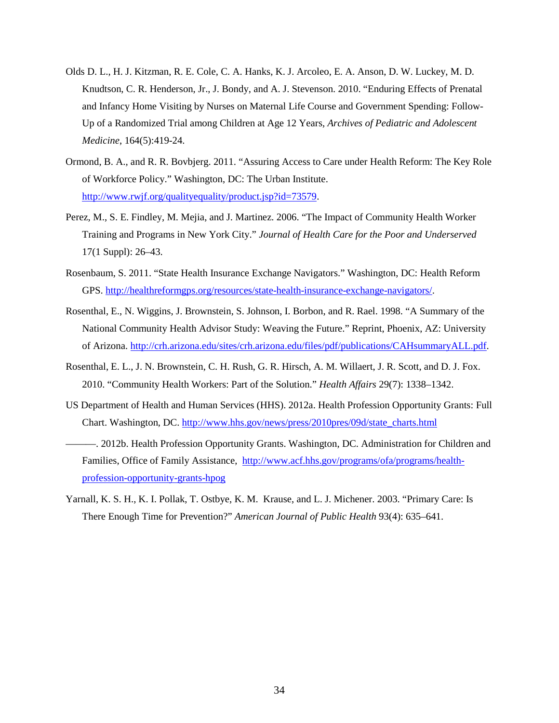- Olds D. L., H. J. Kitzman, R. E. Cole, C. A. Hanks, K. J. Arcoleo, E. A. Anson, D. W. Luckey, M. D. Knudtson, C. R. Henderson, Jr., J. Bondy, and A. J. Stevenson. 2010. "Enduring Effects of Prenatal and Infancy Home Visiting by Nurses on Maternal Life Course and Government Spending: Follow-Up of a Randomized Trial among Children at Age 12 Years, *Archives of Pediatric and Adolescent Medicine*, 164(5):419-24.
- Ormond, B. A., and R. R. Bovbjerg. 2011. "Assuring Access to Care under Health Reform: The Key Role of Workforce Policy." Washington, DC: The Urban Institute. [http://www.rwjf.org/qualityequality/product.jsp?id=73579.](http://www.rwjf.org/qualityequality/product.jsp?id=73579)
- Perez, M., S. E. Findley, M. Mejia, and J. Martinez. 2006. "The Impact of Community Health Worker Training and Programs in New York City." *Journal of Health Care for the Poor and Underserved* 17(1 Suppl): 26–43.
- Rosenbaum, S. 2011. "State Health Insurance Exchange Navigators." Washington, DC: Health Reform GPS. [http://healthreformgps.org/resources/state-health-insurance-exchange-navigators/.](http://healthreformgps.org/resources/state-health-insurance-exchange-navigators/)
- Rosenthal, E., N. Wiggins, J. Brownstein, S. Johnson, I. Borbon, and R. Rael. 1998. "A Summary of the National Community Health Advisor Study: Weaving the Future." Reprint, Phoenix, AZ: University of Arizona. [http://crh.arizona.edu/sites/crh.arizona.edu/files/pdf/publications/CAHsummaryALL.pdf.](http://crh.arizona.edu/sites/crh.arizona.edu/files/pdf/publications/CAHsummaryALL.pdf)
- Rosenthal, E. L., J. N. Brownstein, C. H. Rush, G. R. Hirsch, A. M. Willaert, J. R. Scott, and D. J. Fox. 2010. "Community Health Workers: Part of the Solution." *Health Affairs* 29(7): 1338–1342.
- US Department of Health and Human Services (HHS). 2012a. Health Profession Opportunity Grants: Full Chart. Washington, DC. [http://www.hhs.gov/news/press/2010pres/09d/state\\_charts.html](http://www.hhs.gov/news/press/2010pres/09d/state_charts.html)
- ———. 2012b. Health Profession Opportunity Grants. Washington, DC. Administration for Children and Families, Office of Family Assistance, [http://www.acf.hhs.gov/programs/ofa/programs/health](http://www.acf.hhs.gov/programs/ofa/programs/health-profession-opportunity-grants-hpog)[profession-opportunity-grants-hpog](http://www.acf.hhs.gov/programs/ofa/programs/health-profession-opportunity-grants-hpog)
- Yarnall, K. S. H., K. I. Pollak, T. Ostbye, K. M. Krause, and L. J. Michener. 2003. "Primary Care: Is There Enough Time for Prevention?" *American Journal of Public Health* 93(4): 635–641.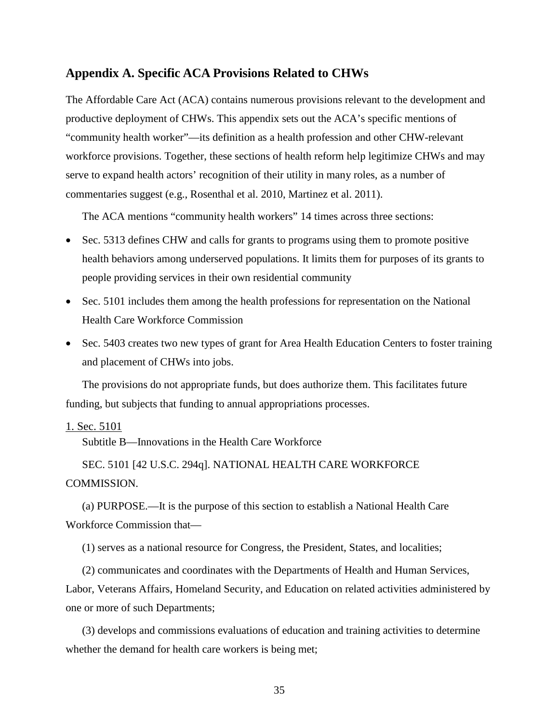## **Appendix A. Specific ACA Provisions Related to CHWs**

The Affordable Care Act (ACA) contains numerous provisions relevant to the development and productive deployment of CHWs. This appendix sets out the ACA's specific mentions of "community health worker"—its definition as a health profession and other CHW-relevant workforce provisions. Together, these sections of health reform help legitimize CHWs and may serve to expand health actors' recognition of their utility in many roles, as a number of commentaries suggest (e.g., Rosenthal et al. 2010, Martinez et al. 2011).

The ACA mentions "community health workers" 14 times across three sections:

- Sec. 5313 defines CHW and calls for grants to programs using them to promote positive health behaviors among underserved populations. It limits them for purposes of its grants to people providing services in their own residential community
- Sec. 5101 includes them among the health professions for representation on the National Health Care Workforce Commission
- Sec. 5403 creates two new types of grant for Area Health Education Centers to foster training and placement of CHWs into jobs.

The provisions do not appropriate funds, but does authorize them. This facilitates future funding, but subjects that funding to annual appropriations processes.

#### 1. Sec. 5101

Subtitle B—Innovations in the Health Care Workforce

SEC. 5101 [42 U.S.C. 294q]. NATIONAL HEALTH CARE WORKFORCE COMMISSION.

(a) PURPOSE.—It is the purpose of this section to establish a National Health Care Workforce Commission that—

(1) serves as a national resource for Congress, the President, States, and localities;

(2) communicates and coordinates with the Departments of Health and Human Services, Labor, Veterans Affairs, Homeland Security, and Education on related activities administered by one or more of such Departments;

(3) develops and commissions evaluations of education and training activities to determine whether the demand for health care workers is being met;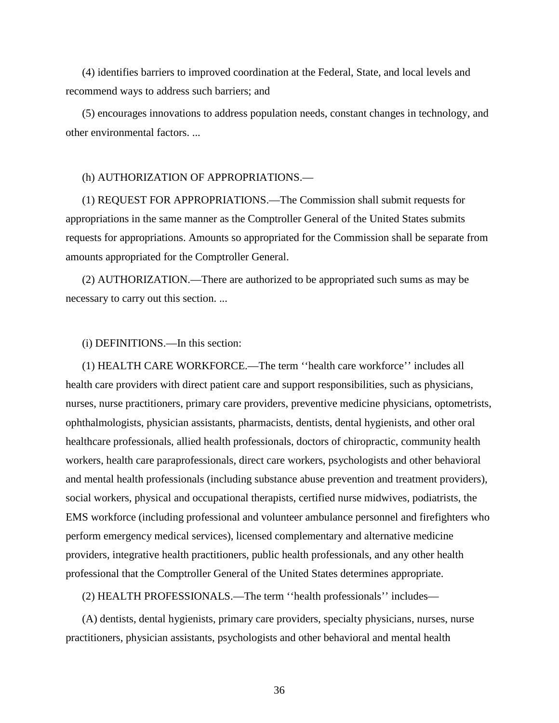(4) identifies barriers to improved coordination at the Federal, State, and local levels and recommend ways to address such barriers; and

(5) encourages innovations to address population needs, constant changes in technology, and other environmental factors. ...

#### (h) AUTHORIZATION OF APPROPRIATIONS.—

(1) REQUEST FOR APPROPRIATIONS.—The Commission shall submit requests for appropriations in the same manner as the Comptroller General of the United States submits requests for appropriations. Amounts so appropriated for the Commission shall be separate from amounts appropriated for the Comptroller General.

(2) AUTHORIZATION.—There are authorized to be appropriated such sums as may be necessary to carry out this section. ...

#### (i) DEFINITIONS.—In this section:

(1) HEALTH CARE WORKFORCE.—The term ''health care workforce'' includes all health care providers with direct patient care and support responsibilities, such as physicians, nurses, nurse practitioners, primary care providers, preventive medicine physicians, optometrists, ophthalmologists, physician assistants, pharmacists, dentists, dental hygienists, and other oral healthcare professionals, allied health professionals, doctors of chiropractic, community health workers, health care paraprofessionals, direct care workers, psychologists and other behavioral and mental health professionals (including substance abuse prevention and treatment providers), social workers, physical and occupational therapists, certified nurse midwives, podiatrists, the EMS workforce (including professional and volunteer ambulance personnel and firefighters who perform emergency medical services), licensed complementary and alternative medicine providers, integrative health practitioners, public health professionals, and any other health professional that the Comptroller General of the United States determines appropriate.

(2) HEALTH PROFESSIONALS.—The term ''health professionals'' includes—

(A) dentists, dental hygienists, primary care providers, specialty physicians, nurses, nurse practitioners, physician assistants, psychologists and other behavioral and mental health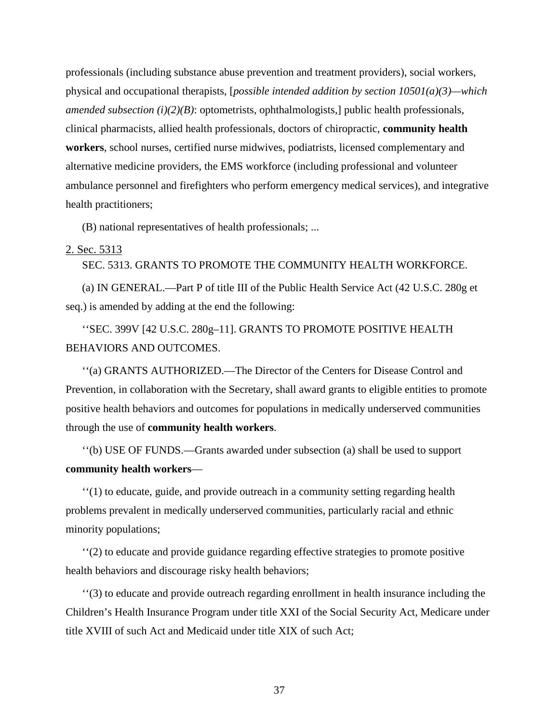professionals (including substance abuse prevention and treatment providers), social workers, physical and occupational therapists, [*possible intended addition by section 10501(a)(3)—which amended subsection (i)(2)(B)*: optometrists, ophthalmologists,] public health professionals, clinical pharmacists, allied health professionals, doctors of chiropractic, **community health workers**, school nurses, certified nurse midwives, podiatrists, licensed complementary and alternative medicine providers, the EMS workforce (including professional and volunteer ambulance personnel and firefighters who perform emergency medical services), and integrative health practitioners;

(B) national representatives of health professionals; ...

#### 2. Sec. 5313

#### SEC. 5313. GRANTS TO PROMOTE THE COMMUNITY HEALTH WORKFORCE.

(a) IN GENERAL.—Part P of title III of the Public Health Service Act (42 U.S.C. 280g et seq.) is amended by adding at the end the following:

''SEC. 399V [42 U.S.C. 280g–11]. GRANTS TO PROMOTE POSITIVE HEALTH BEHAVIORS AND OUTCOMES.

''(a) GRANTS AUTHORIZED.—The Director of the Centers for Disease Control and Prevention, in collaboration with the Secretary, shall award grants to eligible entities to promote positive health behaviors and outcomes for populations in medically underserved communities through the use of **community health workers**.

''(b) USE OF FUNDS.—Grants awarded under subsection (a) shall be used to support **community health workers**—

''(1) to educate, guide, and provide outreach in a community setting regarding health problems prevalent in medically underserved communities, particularly racial and ethnic minority populations;

''(2) to educate and provide guidance regarding effective strategies to promote positive health behaviors and discourage risky health behaviors;

''(3) to educate and provide outreach regarding enrollment in health insurance including the Children's Health Insurance Program under title XXI of the Social Security Act, Medicare under title XVIII of such Act and Medicaid under title XIX of such Act;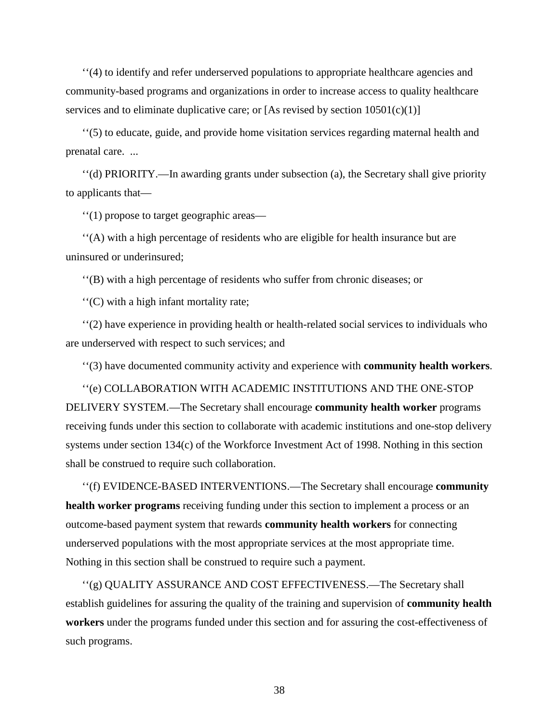''(4) to identify and refer underserved populations to appropriate healthcare agencies and community-based programs and organizations in order to increase access to quality healthcare services and to eliminate duplicative care; or [As revised by section  $10501(c)(1)$ ]

''(5) to educate, guide, and provide home visitation services regarding maternal health and prenatal care. ...

''(d) PRIORITY.—In awarding grants under subsection (a), the Secretary shall give priority to applicants that—

''(1) propose to target geographic areas—

''(A) with a high percentage of residents who are eligible for health insurance but are uninsured or underinsured;

''(B) with a high percentage of residents who suffer from chronic diseases; or

''(C) with a high infant mortality rate;

''(2) have experience in providing health or health-related social services to individuals who are underserved with respect to such services; and

''(3) have documented community activity and experience with **community health workers**.

''(e) COLLABORATION WITH ACADEMIC INSTITUTIONS AND THE ONE-STOP DELIVERY SYSTEM.—The Secretary shall encourage **community health worker** programs receiving funds under this section to collaborate with academic institutions and one-stop delivery systems under section 134(c) of the Workforce Investment Act of 1998. Nothing in this section shall be construed to require such collaboration.

''(f) EVIDENCE-BASED INTERVENTIONS.—The Secretary shall encourage **community health worker programs** receiving funding under this section to implement a process or an outcome-based payment system that rewards **community health workers** for connecting underserved populations with the most appropriate services at the most appropriate time. Nothing in this section shall be construed to require such a payment.

''(g) QUALITY ASSURANCE AND COST EFFECTIVENESS.—The Secretary shall establish guidelines for assuring the quality of the training and supervision of **community health workers** under the programs funded under this section and for assuring the cost-effectiveness of such programs.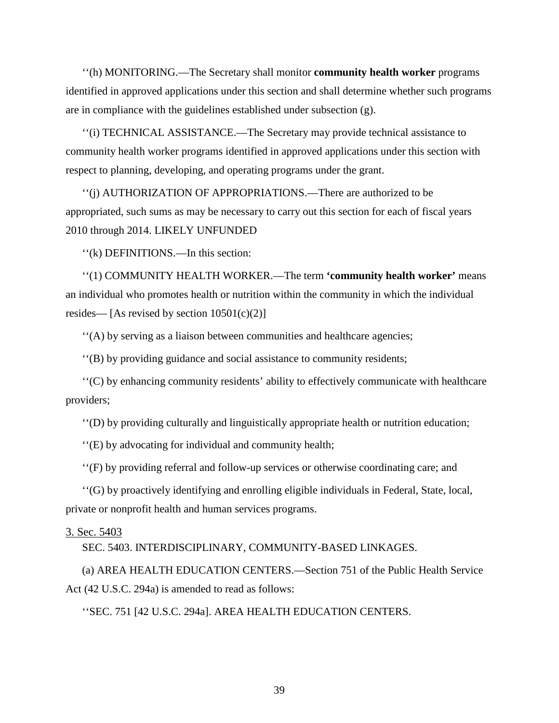''(h) MONITORING.—The Secretary shall monitor **community health worker** programs identified in approved applications under this section and shall determine whether such programs are in compliance with the guidelines established under subsection (g).

''(i) TECHNICAL ASSISTANCE.—The Secretary may provide technical assistance to community health worker programs identified in approved applications under this section with respect to planning, developing, and operating programs under the grant.

''(j) AUTHORIZATION OF APPROPRIATIONS.—There are authorized to be appropriated, such sums as may be necessary to carry out this section for each of fiscal years 2010 through 2014. LIKELY UNFUNDED

''(k) DEFINITIONS.—In this section:

''(1) COMMUNITY HEALTH WORKER.—The term **'community health worker'** means an individual who promotes health or nutrition within the community in which the individual resides— [As revised by section  $10501(c)(2)$ ]

''(A) by serving as a liaison between communities and healthcare agencies;

''(B) by providing guidance and social assistance to community residents;

''(C) by enhancing community residents' ability to effectively communicate with healthcare providers;

''(D) by providing culturally and linguistically appropriate health or nutrition education;

''(E) by advocating for individual and community health;

''(F) by providing referral and follow-up services or otherwise coordinating care; and

''(G) by proactively identifying and enrolling eligible individuals in Federal, State, local, private or nonprofit health and human services programs.

#### 3. Sec. 5403

SEC. 5403. INTERDISCIPLINARY, COMMUNITY-BASED LINKAGES.

(a) AREA HEALTH EDUCATION CENTERS.—Section 751 of the Public Health Service Act (42 U.S.C. 294a) is amended to read as follows:

''SEC. 751 [42 U.S.C. 294a]. AREA HEALTH EDUCATION CENTERS.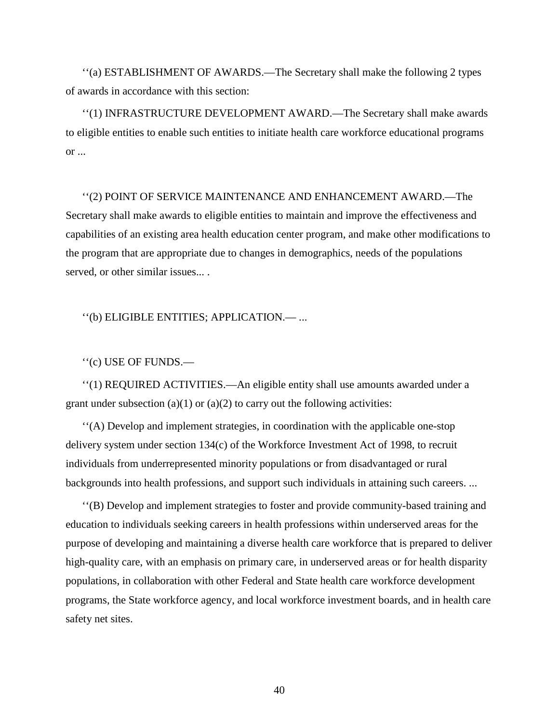''(a) ESTABLISHMENT OF AWARDS.—The Secretary shall make the following 2 types of awards in accordance with this section:

''(1) INFRASTRUCTURE DEVELOPMENT AWARD.—The Secretary shall make awards to eligible entities to enable such entities to initiate health care workforce educational programs or ...

# ''(2) POINT OF SERVICE MAINTENANCE AND ENHANCEMENT AWARD.—The Secretary shall make awards to eligible entities to maintain and improve the effectiveness and capabilities of an existing area health education center program, and make other modifications to the program that are appropriate due to changes in demographics, needs of the populations served, or other similar issues... .

''(b) ELIGIBLE ENTITIES; APPLICATION.— ...

''(c) USE OF FUNDS.—

''(1) REQUIRED ACTIVITIES.—An eligible entity shall use amounts awarded under a grant under subsection (a)(1) or (a)(2) to carry out the following activities:

''(A) Develop and implement strategies, in coordination with the applicable one-stop delivery system under section 134(c) of the Workforce Investment Act of 1998, to recruit individuals from underrepresented minority populations or from disadvantaged or rural backgrounds into health professions, and support such individuals in attaining such careers. ...

''(B) Develop and implement strategies to foster and provide community-based training and education to individuals seeking careers in health professions within underserved areas for the purpose of developing and maintaining a diverse health care workforce that is prepared to deliver high-quality care, with an emphasis on primary care, in underserved areas or for health disparity populations, in collaboration with other Federal and State health care workforce development programs, the State workforce agency, and local workforce investment boards, and in health care safety net sites.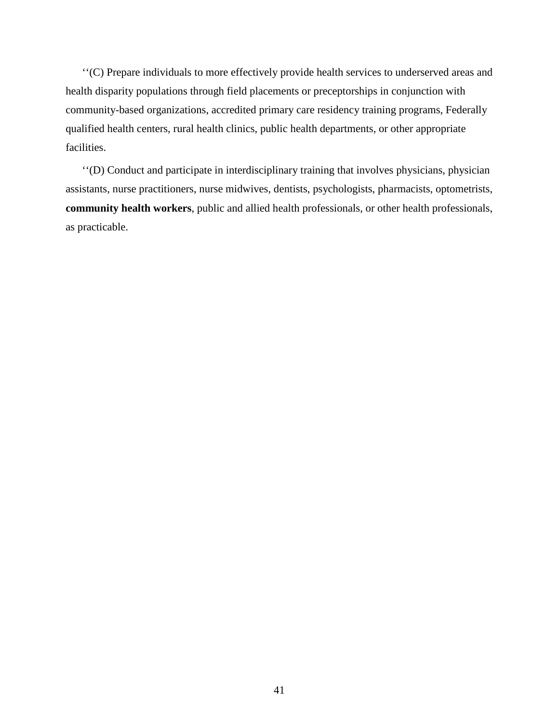''(C) Prepare individuals to more effectively provide health services to underserved areas and health disparity populations through field placements or preceptorships in conjunction with community-based organizations, accredited primary care residency training programs, Federally qualified health centers, rural health clinics, public health departments, or other appropriate facilities.

''(D) Conduct and participate in interdisciplinary training that involves physicians, physician assistants, nurse practitioners, nurse midwives, dentists, psychologists, pharmacists, optometrists, **community health workers**, public and allied health professionals, or other health professionals, as practicable.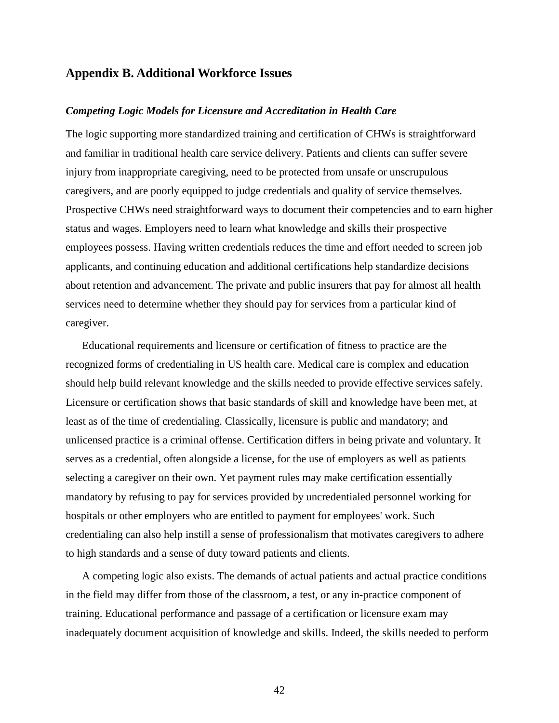## **Appendix B. Additional Workforce Issues**

#### *Competing Logic Models for Licensure and Accreditation in Health Care*

The logic supporting more standardized training and certification of CHWs is straightforward and familiar in traditional health care service delivery. Patients and clients can suffer severe injury from inappropriate caregiving, need to be protected from unsafe or unscrupulous caregivers, and are poorly equipped to judge credentials and quality of service themselves. Prospective CHWs need straightforward ways to document their competencies and to earn higher status and wages. Employers need to learn what knowledge and skills their prospective employees possess. Having written credentials reduces the time and effort needed to screen job applicants, and continuing education and additional certifications help standardize decisions about retention and advancement. The private and public insurers that pay for almost all health services need to determine whether they should pay for services from a particular kind of caregiver.

Educational requirements and licensure or certification of fitness to practice are the recognized forms of credentialing in US health care. Medical care is complex and education should help build relevant knowledge and the skills needed to provide effective services safely. Licensure or certification shows that basic standards of skill and knowledge have been met, at least as of the time of credentialing. Classically, licensure is public and mandatory; and unlicensed practice is a criminal offense. Certification differs in being private and voluntary. It serves as a credential, often alongside a license, for the use of employers as well as patients selecting a caregiver on their own. Yet payment rules may make certification essentially mandatory by refusing to pay for services provided by uncredentialed personnel working for hospitals or other employers who are entitled to payment for employees' work. Such credentialing can also help instill a sense of professionalism that motivates caregivers to adhere to high standards and a sense of duty toward patients and clients.

A competing logic also exists. The demands of actual patients and actual practice conditions in the field may differ from those of the classroom, a test, or any in-practice component of training. Educational performance and passage of a certification or licensure exam may inadequately document acquisition of knowledge and skills. Indeed, the skills needed to perform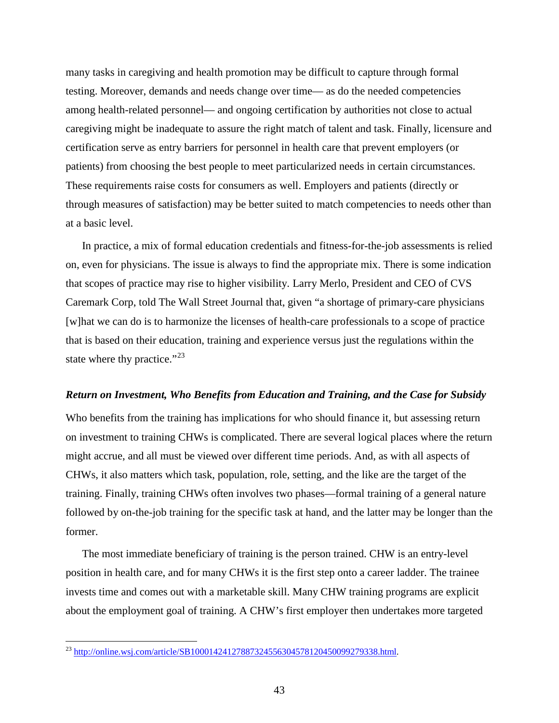many tasks in caregiving and health promotion may be difficult to capture through formal testing. Moreover, demands and needs change over time— as do the needed competencies among health-related personnel— and ongoing certification by authorities not close to actual caregiving might be inadequate to assure the right match of talent and task. Finally, licensure and certification serve as entry barriers for personnel in health care that prevent employers (or patients) from choosing the best people to meet particularized needs in certain circumstances. These requirements raise costs for consumers as well. Employers and patients (directly or through measures of satisfaction) may be better suited to match competencies to needs other than at a basic level.

In practice, a mix of formal education credentials and fitness-for-the-job assessments is relied on, even for physicians. The issue is always to find the appropriate mix. There is some indication that scopes of practice may rise to higher visibility. Larry Merlo, President and CEO of CVS Caremark Corp, told The Wall Street Journal that, given "a shortage of primary-care physicians [w]hat we can do is to harmonize the licenses of health-care professionals to a scope of practice that is based on their education, training and experience versus just the regulations within the state where thy practice." $^{23}$  $^{23}$  $^{23}$ 

#### *Return on Investment, Who Benefits from Education and Training, and the Case for Subsidy*

Who benefits from the training has implications for who should finance it, but assessing return on investment to training CHWs is complicated. There are several logical places where the return might accrue, and all must be viewed over different time periods. And, as with all aspects of CHWs, it also matters which task, population, role, setting, and the like are the target of the training. Finally, training CHWs often involves two phases—formal training of a general nature followed by on-the-job training for the specific task at hand, and the latter may be longer than the former.

The most immediate beneficiary of training is the person trained. CHW is an entry-level position in health care, and for many CHWs it is the first step onto a career ladder. The trainee invests time and comes out with a marketable skill. Many CHW training programs are explicit about the employment goal of training. A CHW's first employer then undertakes more targeted

<span id="page-45-0"></span><sup>&</sup>lt;sup>23</sup> [http://online.wsj.com/article/SB10001424127887324556304578120450099279338.html.](http://online.wsj.com/article/SB10001424127887324556304578120450099279338.html)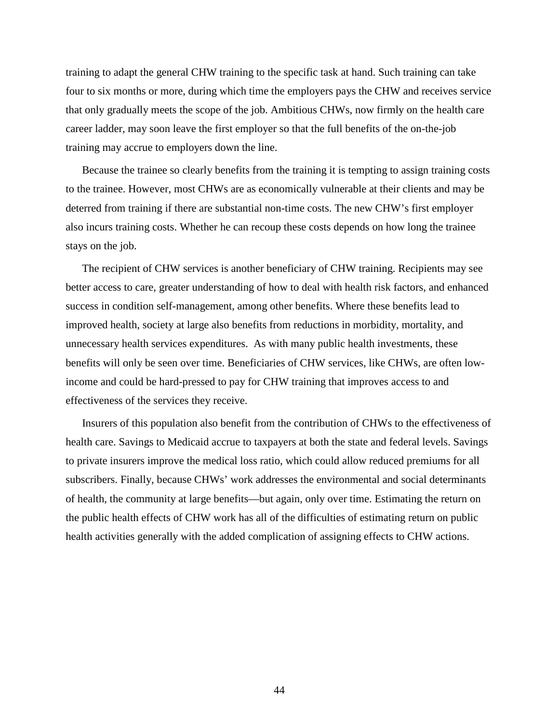training to adapt the general CHW training to the specific task at hand. Such training can take four to six months or more, during which time the employers pays the CHW and receives service that only gradually meets the scope of the job. Ambitious CHWs, now firmly on the health care career ladder, may soon leave the first employer so that the full benefits of the on-the-job training may accrue to employers down the line.

Because the trainee so clearly benefits from the training it is tempting to assign training costs to the trainee. However, most CHWs are as economically vulnerable at their clients and may be deterred from training if there are substantial non-time costs. The new CHW's first employer also incurs training costs. Whether he can recoup these costs depends on how long the trainee stays on the job.

The recipient of CHW services is another beneficiary of CHW training. Recipients may see better access to care, greater understanding of how to deal with health risk factors, and enhanced success in condition self-management, among other benefits. Where these benefits lead to improved health, society at large also benefits from reductions in morbidity, mortality, and unnecessary health services expenditures. As with many public health investments, these benefits will only be seen over time. Beneficiaries of CHW services, like CHWs, are often lowincome and could be hard-pressed to pay for CHW training that improves access to and effectiveness of the services they receive.

Insurers of this population also benefit from the contribution of CHWs to the effectiveness of health care. Savings to Medicaid accrue to taxpayers at both the state and federal levels. Savings to private insurers improve the medical loss ratio, which could allow reduced premiums for all subscribers. Finally, because CHWs' work addresses the environmental and social determinants of health, the community at large benefits—but again, only over time. Estimating the return on the public health effects of CHW work has all of the difficulties of estimating return on public health activities generally with the added complication of assigning effects to CHW actions.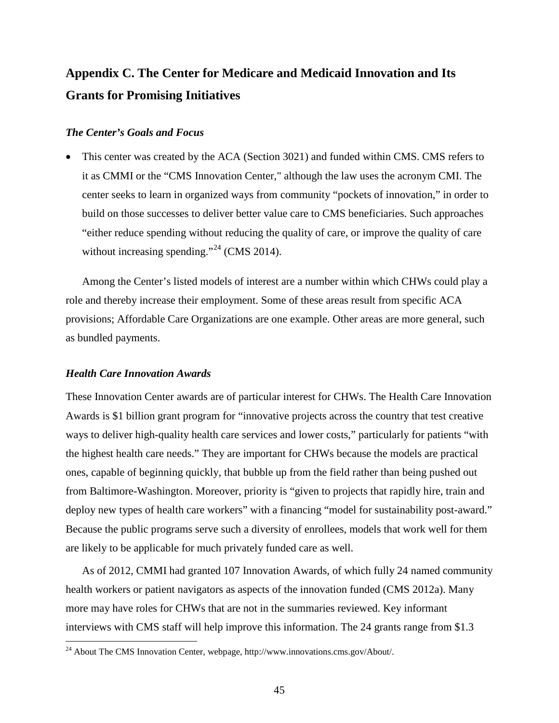# **Appendix C. The Center for Medicare and Medicaid Innovation and Its Grants for Promising Initiatives**

#### *The Center's Goals and Focus*

• This center was created by the ACA (Section 3021) and funded within CMS. CMS refers to it as CMMI or the "CMS Innovation Center," although the law uses the acronym CMI. The center seeks to learn in organized ways from community "pockets of innovation," in order to build on those successes to deliver better value care to CMS beneficiaries. Such approaches "either reduce spending without reducing the quality of care, or improve the quality of care without increasing spending."<sup>[24](#page-45-0)</sup> (CMS 2014).

Among the Center's listed models of interest are a number within which CHWs could play a role and thereby increase their employment. Some of these areas result from specific ACA provisions; Affordable Care Organizations are one example. Other areas are more general, such as bundled payments.

#### *Health Care Innovation Awards*

These Innovation Center awards are of particular interest for CHWs. The Health Care Innovation Awards is \$1 billion grant program for "innovative projects across the country that test creative ways to deliver high-quality health care services and lower costs," particularly for patients "with the highest health care needs." They are important for CHWs because the models are practical ones, capable of beginning quickly, that bubble up from the field rather than being pushed out from Baltimore-Washington. Moreover, priority is "given to projects that rapidly hire, train and deploy new types of health care workers" with a financing "model for sustainability post-award." Because the public programs serve such a diversity of enrollees, models that work well for them are likely to be applicable for much privately funded care as well.

As of 2012, CMMI had granted 107 Innovation Awards, of which fully 24 named community health workers or patient navigators as aspects of the innovation funded (CMS 2012a). Many more may have roles for CHWs that are not in the summaries reviewed. Key informant interviews with CMS staff will help improve this information. The 24 grants range from \$1.3

 <sup>24</sup> About The CMS Innovation Center, webpage, http://www.innovations.cms.gov/About/.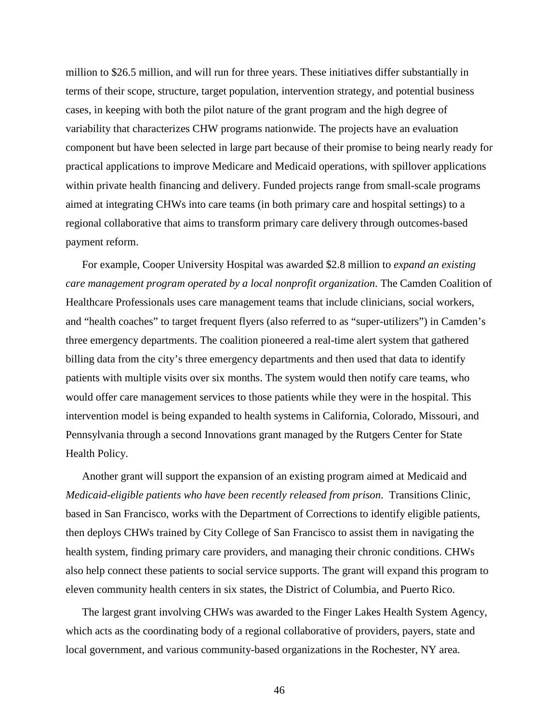million to \$26.5 million, and will run for three years. These initiatives differ substantially in terms of their scope, structure, target population, intervention strategy, and potential business cases, in keeping with both the pilot nature of the grant program and the high degree of variability that characterizes CHW programs nationwide. The projects have an evaluation component but have been selected in large part because of their promise to being nearly ready for practical applications to improve Medicare and Medicaid operations, with spillover applications within private health financing and delivery. Funded projects range from small-scale programs aimed at integrating CHWs into care teams (in both primary care and hospital settings) to a regional collaborative that aims to transform primary care delivery through outcomes-based payment reform.

For example, Cooper University Hospital was awarded \$2.8 million to *expand an existing care management program operated by a local nonprofit organization*. The Camden Coalition of Healthcare Professionals uses care management teams that include clinicians, social workers, and "health coaches" to target frequent flyers (also referred to as "super-utilizers") in Camden's three emergency departments. The coalition pioneered a real-time alert system that gathered billing data from the city's three emergency departments and then used that data to identify patients with multiple visits over six months. The system would then notify care teams, who would offer care management services to those patients while they were in the hospital. This intervention model is being expanded to health systems in California, Colorado, Missouri, and Pennsylvania through a second Innovations grant managed by the Rutgers Center for State Health Policy.

Another grant will support the expansion of an existing program aimed at Medicaid and *Medicaid-eligible patients who have been recently released from prison*. Transitions Clinic, based in San Francisco, works with the Department of Corrections to identify eligible patients, then deploys CHWs trained by City College of San Francisco to assist them in navigating the health system, finding primary care providers, and managing their chronic conditions. CHWs also help connect these patients to social service supports. The grant will expand this program to eleven community health centers in six states, the District of Columbia, and Puerto Rico.

The largest grant involving CHWs was awarded to the Finger Lakes Health System Agency, which acts as the coordinating body of a regional collaborative of providers, payers, state and local government, and various community-based organizations in the Rochester, NY area.